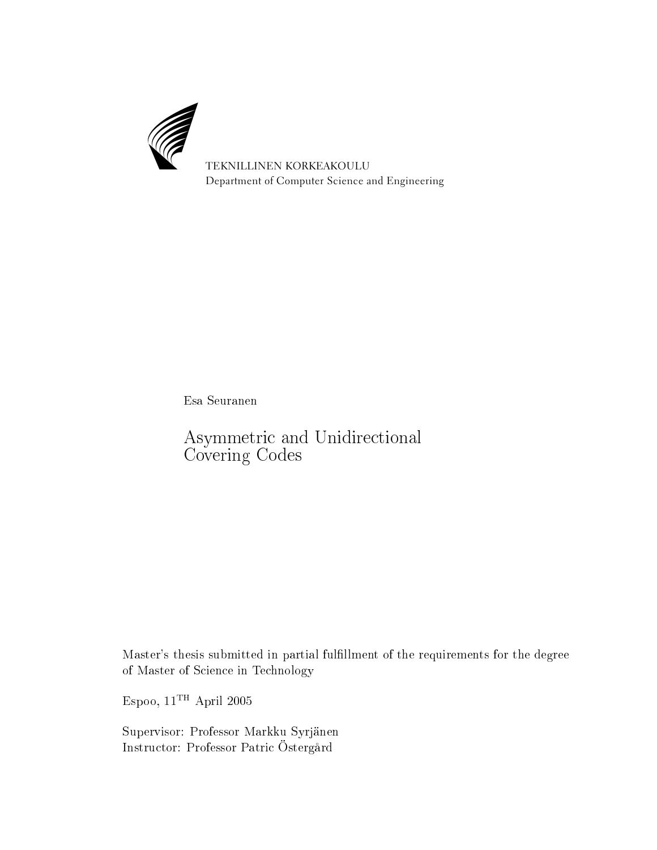

Esa Seuranen

Asymmetri and Unidire
tional Covering Codes

Master's thesis submitted in partial fulllment of the requirements for the degree of Master of S
ien
e in Te
hnology

Espoo,  $11^{\mathrm{TH}}$  April 2005

Supervisor: Professor Markku Syrjänen Instru
tor: Professor Patri Östergård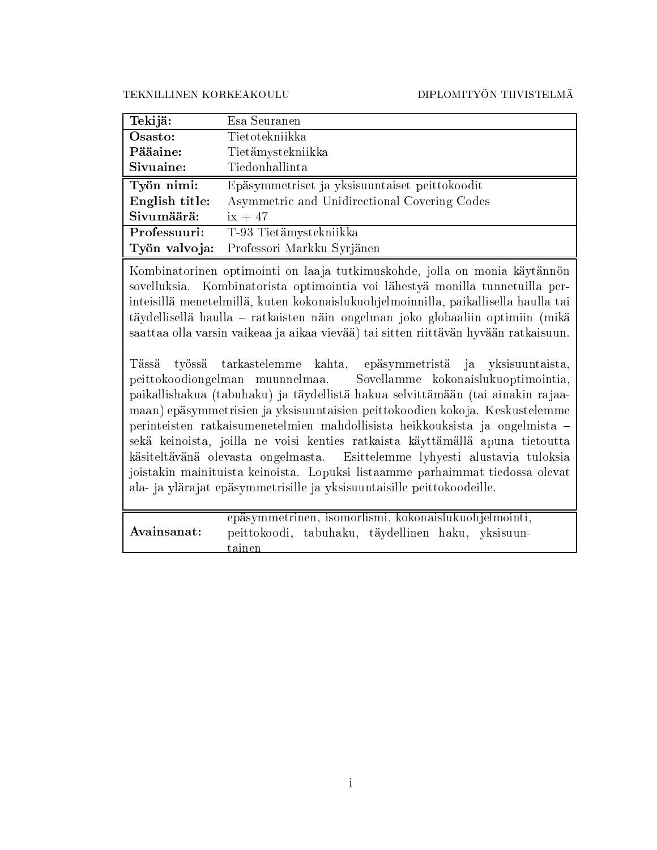TEKNILLINEN KORKEAKOULU

#### DIPLOMITYÖN TIIVISTELMÄ

| Tekijä:        | Esa Seuranen                                  |
|----------------|-----------------------------------------------|
| Osasto:        | Tietotekniikka                                |
| Pääaine:       | Tietämystekniikka                             |
| Sivuaine:      | Tiedonhallinta                                |
| Työn nimi:     | Epäsymmetriset ja yksisuuntaiset peittokoodit |
| English title: | Asymmetric and Unidirectional Covering Codes  |
| Sivumäärä:     | $ix + 47$                                     |
| Professuuri:   | T-93 Tietämystekniikka                        |
| Työn valvoja:  | Professori Markku Syrjänen                    |

Kombinatorinen optimointi on laaja tutkimuskohde, jolla on monia käytännön sovelluksia. Kombinatorista optimointia voi lähestyä monilla tunnetuilla perinteisillä menetelmillä, kuten kokonaislukuohjelmoinnilla, paikallisella haulla tai täydellisellä haulla - ratkaisten näin ongelman joko globaaliin optimiin (mikä saattaa olla varsin vaikeaa ja aikaa vievää) tai sitten riittävän hyvään ratkaisuun.

Tässä työssä tarkastelemme kahta, epäsymmetristä ja yksisuuntaista, peittokoodiongelman muunnelmaa. Sovellamme kokonaislukuoptimointia, paikallishakua (tabuhaku) ja täydellistä hakua selvittämään (tai ainakin rajaamaan) epäsymmetrisien ja yksisuuntaisien peittokoodien kokoja. Keskustelemme perinteisten ratkaisumenetelmien mahdollisista heikkouksista ja ongelmista sekä keinoista, joilla ne voisi kenties ratkaista käyttämällä apuna tietoutta käsiteltävänä olevasta ongelmasta. Esittelemme lyhyesti alustavia tuloksia joistakin mainituista keinoista. Lopuksi listaamme parhaimmat tiedossa olevat ala- ja ylärajat epäsymmetrisille ja yksisuuntaisille peittokoodeille.

|             | epäsymmetrinen, isomorfismi, kokonaislukuohjelmointi, |  |  |  |
|-------------|-------------------------------------------------------|--|--|--|
| Avainsanat: | peittokoodi, tabuhaku, täydellinen haku, yksisuun-    |  |  |  |
|             | tainen                                                |  |  |  |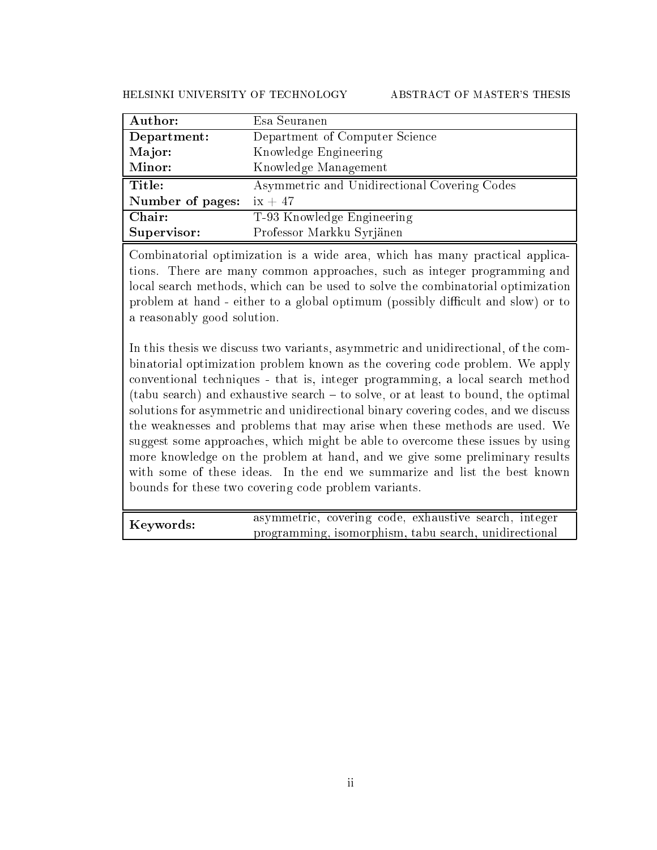HELSINKI UNIVERSITY OF TECHNOLOGY ABSTRACT OF MASTER'S THESIS

| Author:          | Esa Seuranen                                 |
|------------------|----------------------------------------------|
| Department:      | Department of Computer Science               |
| Major:           | Knowledge Engineering                        |
| Minor:           | Knowledge Management                         |
|                  |                                              |
| Title:           | Asymmetric and Unidirectional Covering Codes |
| Number of pages: | $ix + 47$                                    |
| Chair:           | T-93 Knowledge Engineering                   |

Combinatorial optimization is a wide area, which has many practical applications. There are many ommon approa
hes, su
h as integer programming and lo
al sear
h methods, whi
h an be used to solve the ombinatorial optimization problem at hand - either to a global optimum (possibly difficult and slow) or to a reasonably good solution.

In this the sis we discuss two variants, asymmetric and unidirectional, of the combinatorial optimization problem known as the overing ode problem. We apply onventional te
hniques - that is, integer programming, a lo
al sear
h method (tabu search) and exhaustive search – to solve, or at least to bound, the optimal solutions for asymmetric and unidirectional binary covering codes, and we discuss the weaknesses and problems that may arise when these methods are used. We suggest some approaches, which might be able to overcome these issues by using more knowledge on the problem at hand, and we give some preliminary results with some of these ideas. In the end we summarize and list the best known bounds for these two overing ode problem variants.

Keywords: and the search of the search of the search of the search of the search of the search of the search o programming, isomorphism, tabu sear
h, unidire
tional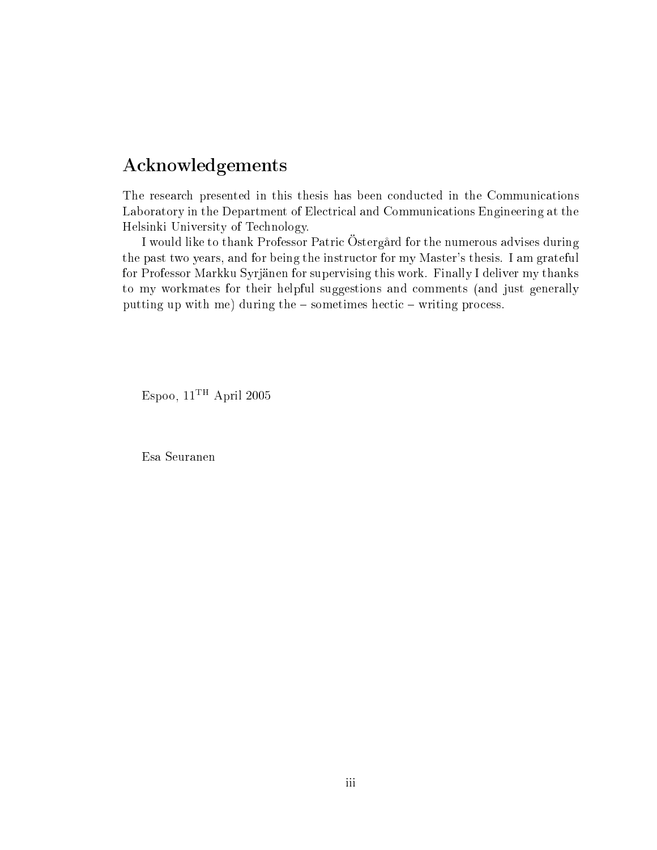### A
knowledgements

The resear
h presented in this thesis has been ondu
ted in the Communi
ations Laboratory in the Department of Electrical and Communications Engineering at the Helsinki University of Te
hnology.

I would like to thank Professor Patri Östergård for the numerous advises during the past two years, and for being the instru
tor for my Master's thesis. I am grateful for Professor Markku Syrjänen for supervising this work. Finally I deliver my thanks to my workmates for their helpful suggestions and omments (and just generally putting up with me) during the - sometimes hectic - writing process.

Espoo,  $11^{\mathrm{TH}}$  April 2005

Esa Seuranen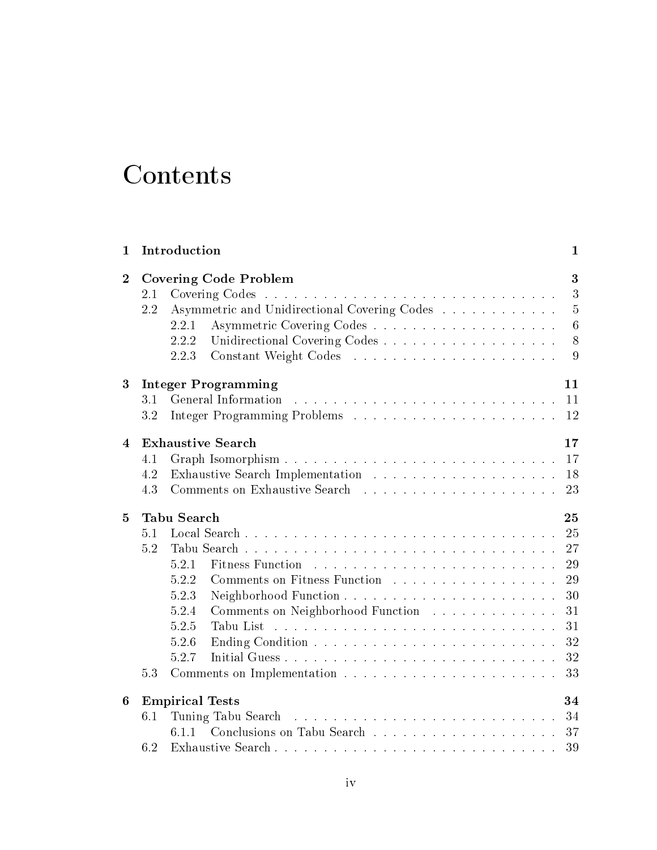## **Contents**

| $\mathbf{1}$   |                   | Introduction                                                                                                                                                                                                                                            | $\mathbf{1}$                                             |
|----------------|-------------------|---------------------------------------------------------------------------------------------------------------------------------------------------------------------------------------------------------------------------------------------------------|----------------------------------------------------------|
| $\overline{2}$ | 2.1<br>2.2        | <b>Covering Code Problem</b><br>Asymmetric and Unidirectional Covering Codes<br>2.2.1<br>2.2.2<br>2.2.3                                                                                                                                                 | 3<br>3<br>$\overline{5}$<br>$\overline{6}$<br>- 8<br>9   |
| 3              | 3.1<br>3.2        | <b>Integer Programming</b>                                                                                                                                                                                                                              | 11<br>11<br>12                                           |
| 4              | 4.1<br>4.2<br>4.3 | <b>Exhaustive Search</b>                                                                                                                                                                                                                                | 17<br>17<br>18<br>23                                     |
| 5              |                   | Tabu Search                                                                                                                                                                                                                                             | 25                                                       |
|                | 5.1<br>5.2<br>5.3 | 5.2.1<br>Comments on Fitness Function<br>5.2.2<br>5.2.3<br>Comments on Neighborhood Function<br>5.2.4<br>$5.2.5\,$<br>Tabu List<br>المتعارف والمتعارف والمتعارف والمتعارف والمتعارف والمتعارف والمتعارف والمتعارف والمتعارف والمتعارف<br>5.2.6<br>5.2.7 | 25<br>27<br>29<br>29<br>30<br>31<br>31<br>32<br>32<br>33 |
| 6              | 6.1<br>6.2        | <b>Empirical Tests</b><br>Tuning Tabu Search                                                                                                                                                                                                            | 34                                                       |
|                |                   |                                                                                                                                                                                                                                                         |                                                          |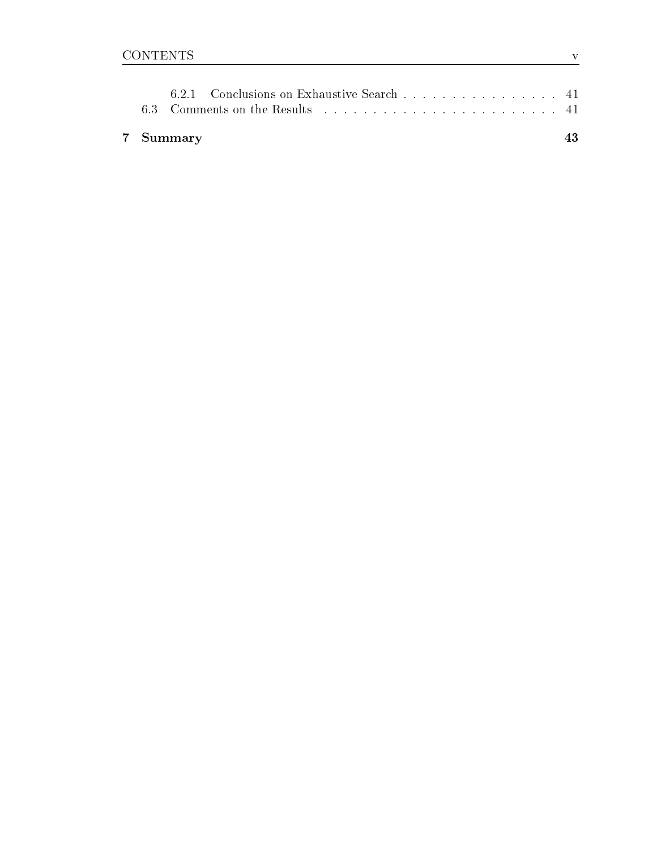|  | 7 Summary |                                                                                                                 |  |  |  |  |  |  |
|--|-----------|-----------------------------------------------------------------------------------------------------------------|--|--|--|--|--|--|
|  |           | 6.3 Comments on the Results entering the contract of the Comments on the Results entering the contract of the C |  |  |  |  |  |  |
|  |           | 6.2.1 Conclusions on Exhaustive Search 41                                                                       |  |  |  |  |  |  |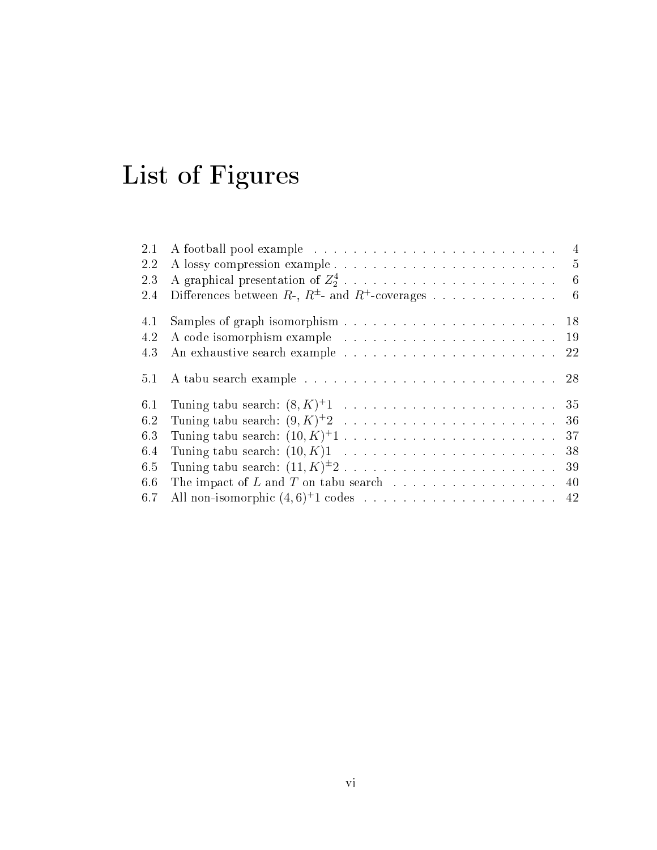# List of Figures

| 2.1 | $\overline{4}$                                                     |
|-----|--------------------------------------------------------------------|
| 2.2 | $-5$                                                               |
| 2.3 | $-6$                                                               |
| 2.4 | Differences between $R$ -, $R^{\pm}$ - and $R^+$ -coverages<br>- 6 |
| 4.1 |                                                                    |
| 4.2 |                                                                    |
| 4.3 |                                                                    |
| 5.1 |                                                                    |
| 6.1 |                                                                    |
| 6.2 |                                                                    |
| 6.3 |                                                                    |
| 6.4 |                                                                    |
| 6.5 |                                                                    |
| 6.6 | The impact of L and T on tabu search 40                            |
| 6.7 |                                                                    |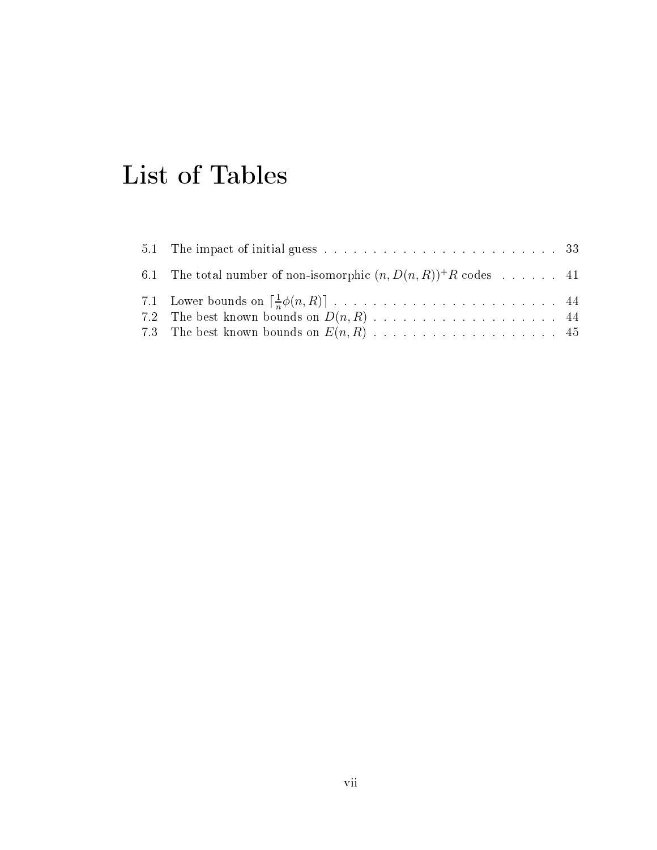## List of Tables

| 6.1 The total number of non-isomorphic $(n, D(n, R))^+R$ codes 41 |  |
|-------------------------------------------------------------------|--|
|                                                                   |  |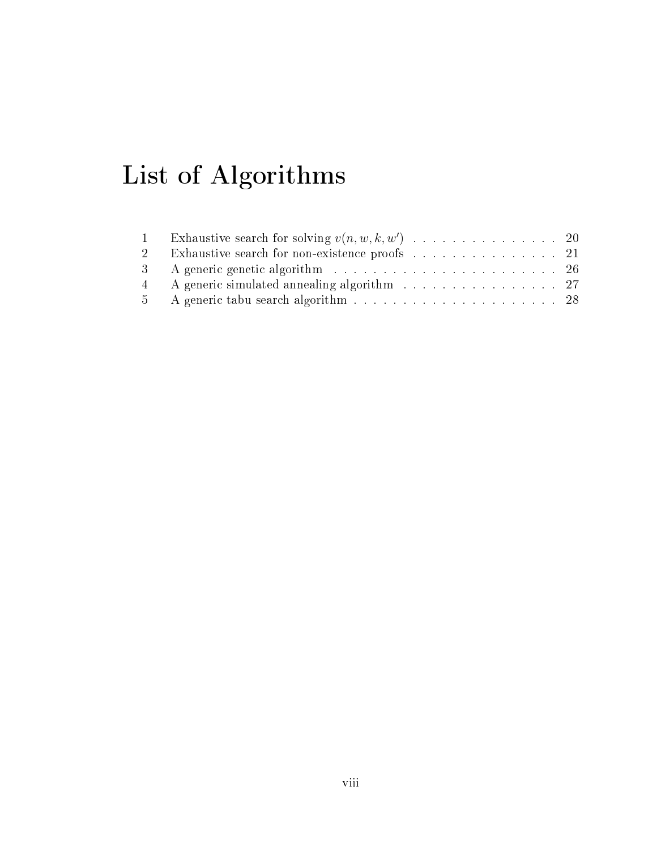# List of Algorithms

| 2 Exhaustive search for non-existence proofs 21 |  |
|-------------------------------------------------|--|
|                                                 |  |
| 4 A generic simulated annealing algorithm 27    |  |
|                                                 |  |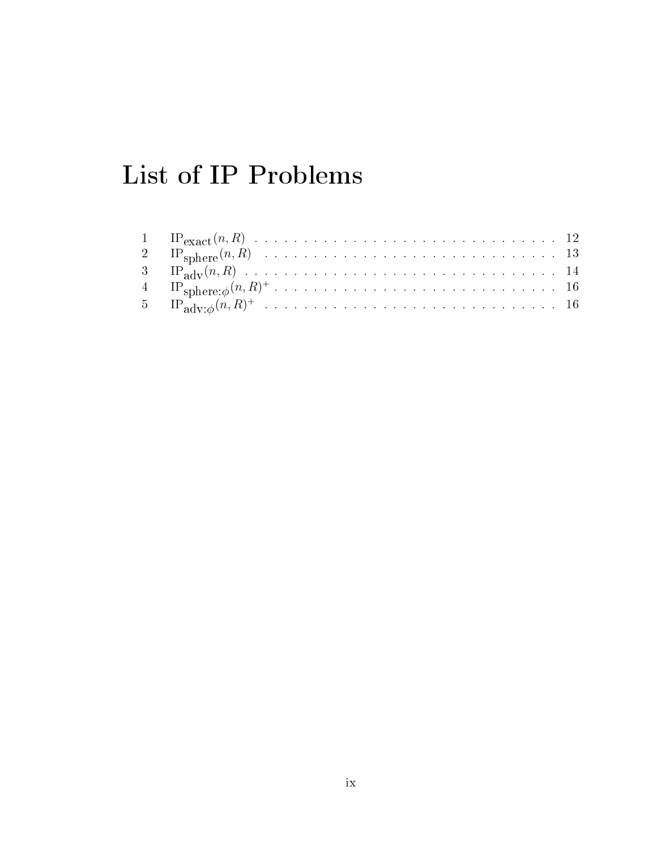## List of IP Problems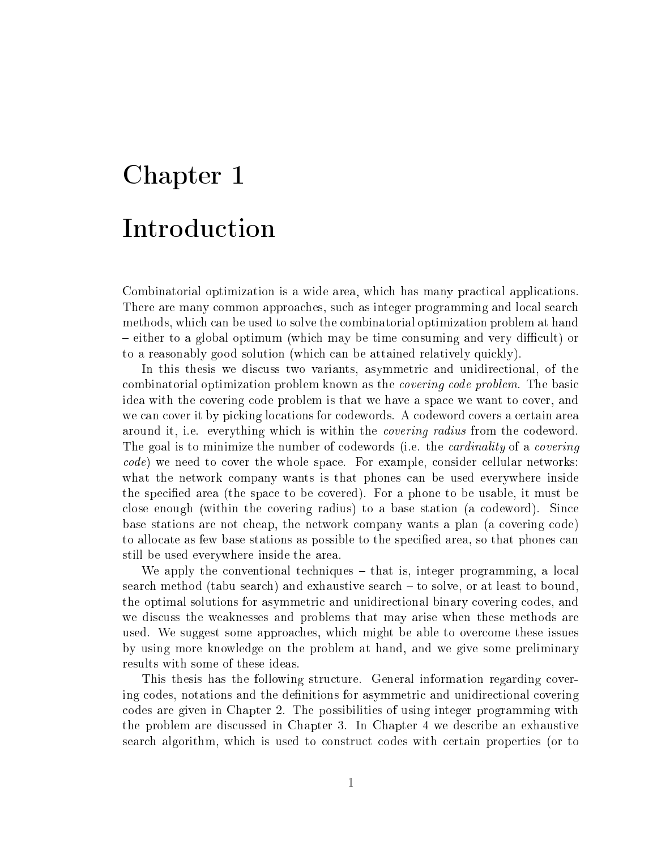# Chapter 1 **Introduction**

Combinatorial optimization is a wide area, which has many practical applications. There are many common approaches, such as integer programming and local search methods, which can be used to solve the combinatorial optimization problem at hand – either to a global optimum (which may be time consuming and very difficult) or to a reasonably good solution (which can be attained relatively quickly).

In this thesis we discuss two variants, asymmetric and unidirectional, of the combinatorial optimization problem known as the *covering code problem*. The basic idea with the overing ode problem is that we have a spa
e we want to over, and we can cover it by picking locations for codewords. A codeword covers a certain area around it, i.e. everything which is within the *covering radius* from the codeword. The goal is to minimize the number of codewords (i.e. the *cardinality* of a *covering code*) we need to cover the whole space. For example, consider cellular networks: what the network company wants is that phones can be used everywhere inside the specified area (the space to be covered). For a phone to be usable, it must be close enough (within the covering radius) to a base station (a codeword). Since base stations are not cheap, the network company wants a plan (a covering code) to allocate as few base stations as possible to the specified area, so that phones can still be used everywhere inside the area.

We apply the conventional techniques  $-$  that is, integer programming, a local search method (tabu search) and exhaustive search – to solve, or at least to bound, the optimal solutions for asymmetric and unidirectional binary covering codes, and we discuss the weaknesses and problems that may arise when these methods are used. We suggest some approa
hes, whi
h might be able to over
ome these issues by using more knowledge on the problem at hand, and we give some preliminary results with some of these ideas.

This thesis has the following structure. General information regarding covering codes, notations and the definitions for asymmetric and unidirectional covering odes are given in Chapter 2. The possibilities of using integer programming with the problem are dis
ussed in Chapter 3. In Chapter 4 we des
ribe an exhaustive sear
h algorithm, whi
h is used to onstru
t odes with ertain properties (or to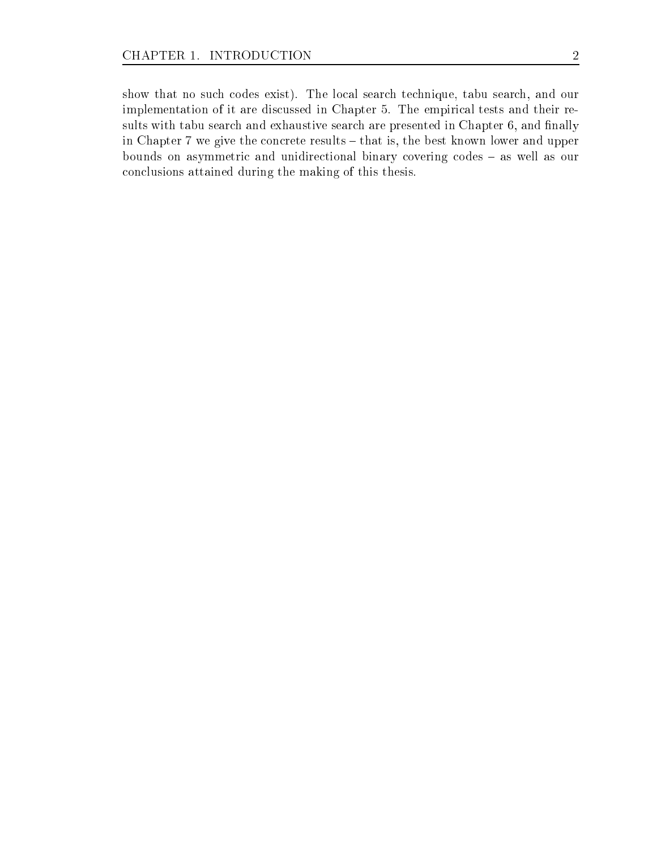show that no such codes exist). The local search technique, tabu search, and our implementation of it are discussed in Chapter 5. The empirical tests and their results with tabu search and exhaustive search are presented in Chapter 6, and finally in Chapter 7 we give the concrete results – that is, the best known lower and upper bounds on asymmetric and unidirectional binary covering codes - as well as our on
lusions attained during the making of this thesis.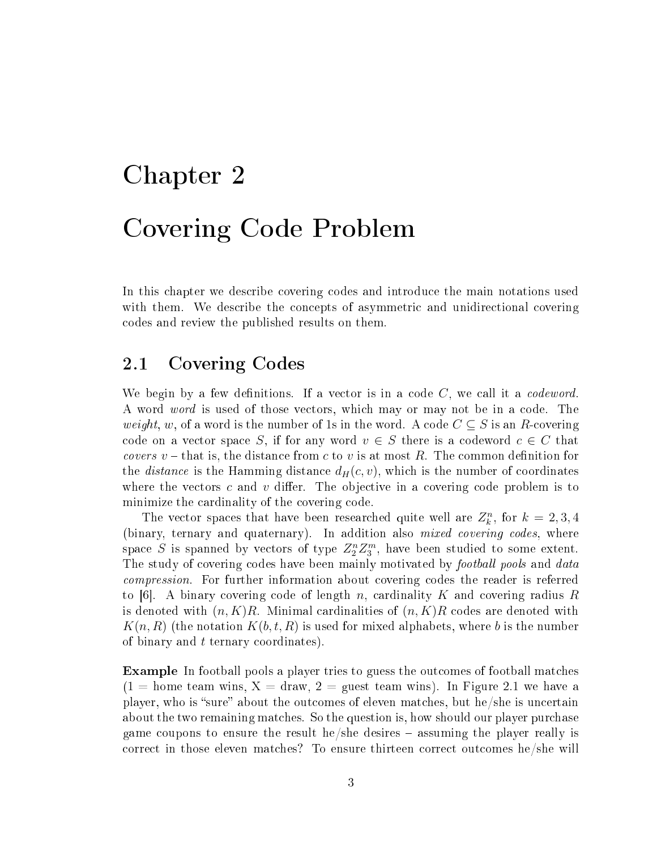# Chapter 2 Covering Code Problem

In this chapter we describe covering codes and introduce the main notations used with them. We describe the concepts of asymmetric and unidirectional covering odes and review the published results on them.

### 2.1 Covering Codes

We begin by a few definitions. If a vector is in a code  $C$ , we call it a *codeword*. A word *word* is used of those vectors, which may or may not be in a code. The *weight*, w, of a word is the number of 1s in the word. A code  $C \subseteq S$  is an R-covering code on a vector space S, if for any word  $v \in S$  there is a codeword  $c \in C$  that *covers*  $v$  – that is, the distance from c to v is at most R. The common definition for the *distance* is the Hamming distance  $d_H(c, v)$ , which is the number of coordinates where the vectors c and v differ. The objective in a covering code problem is to minimize the cardinality of the covering code.

The vector spaces that have been researched quite well are  $Z_k^n$ , for  $k = 2, 3, 4$ (binary, ternary and quaternary). In addition also *mixed covering codes*, where space S is spanned by vectors of type  $Z_2^n Z_3^m$ , have been studied to some extent. The study of covering codes have been mainly motivated by *football pools* and *data compression*. For further information about covering codes the reader is referred to [6]. A binary covering code of length n, cardinality K and covering radius R is denoted with  $(n, K)R$ . Minimal cardinalities of  $(n, K)R$  codes are denoted with  $K(n, R)$  (the notation  $K(b, t, R)$  is used for mixed alphabets, where b is the number of binary and t ternary coordinates).

**Example** In football pools a player tries to guess the outcomes of football matches  $(1 = \text{home team wins}, X = \text{draw}, 2 = \text{quest team wins}).$  In Figure 2.1 we have a player, who is "sure" about the outcomes of eleven matches, but he/she is uncertain about the two remaining matches. So the question is, how should our player purchase game coupons to ensure the result he/she desires  $-$  assuming the player really is correct in those eleven matches? To ensure thirteen correct outcomes he/she will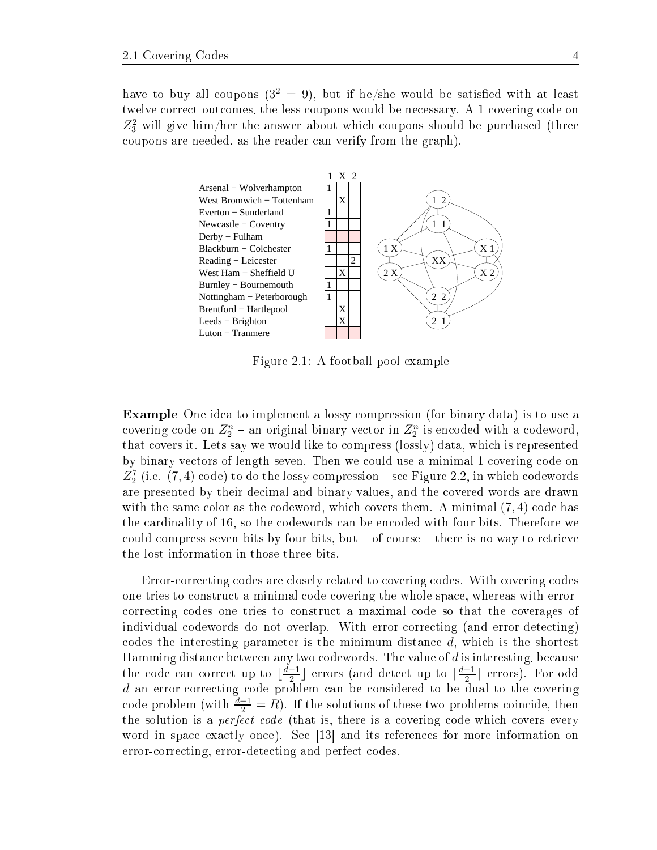have to buy all coupons  $(3^2 = 9)$ , but if he/she would be satisfied with at least twelve correct outcomes, the less coupons would be necessary. A 1-covering code on  $Z_3^2$  will give him/her the answer about which coupons should be purchased (three coupons are needed, as the reader can verify from the graph).



Figure 2.1: A football pool example

Example One idea to implement a lossy ompression (for binary data) is to use a covering code on  $Z_2^n$  – an original binary vector in  $Z_2^n$  is encoded with a codeword, that overs it. Lets say we would like to ompress (lossly) data, whi
h is represented by binary vectors of length seven. Then we could use a minimal 1-covering code on  $Z_{2}^{7}$  (i.e.  $(7,4)$  code) to do the lossy compression – see Figure 2.2, in which codewords are presented by their decimal and binary values, and the covered words are drawn with the same color as the codeword, which covers them. A minimal  $(7, 4)$  code has the cardinality of 16, so the codewords can be encoded with four bits. Therefore we could compress seven bits by four bits, but  $-$  of course  $-$  there is no way to retrieve the lost information in those three bits.

Error-correcting codes are closely related to covering codes. With covering codes one tries to onstru
t a minimal ode overing the whole spa
e, whereas with error orre
ting odes one tries to onstru
t a maximal ode so that the overages of individual odewords do not overlap. With errororre
ting (and error-dete
ting) codes the interesting parameter is the minimum distance  $d$ , which is the shortest Hamming distance between any two codewords. The value of d is interesting, because the code can correct up to  $\lfloor \frac{d-1}{2} \rfloor$  $\frac{-1}{2}$ ] errors (and detect up to  $\lceil \frac{d-1}{2} \rceil$  $\frac{-1}{2}$  errors). For odd d an error-correcting code problem can be considered to be dual to the covering code problem (with  $\frac{d-1}{2} = R$ ). If the solutions of these two problems coincide, then the solution is a *perfect code* (that is, there is a covering code which covers every word in space exactly once). See [13] and its references for more information on error-correcting, error-detecting and perfect codes.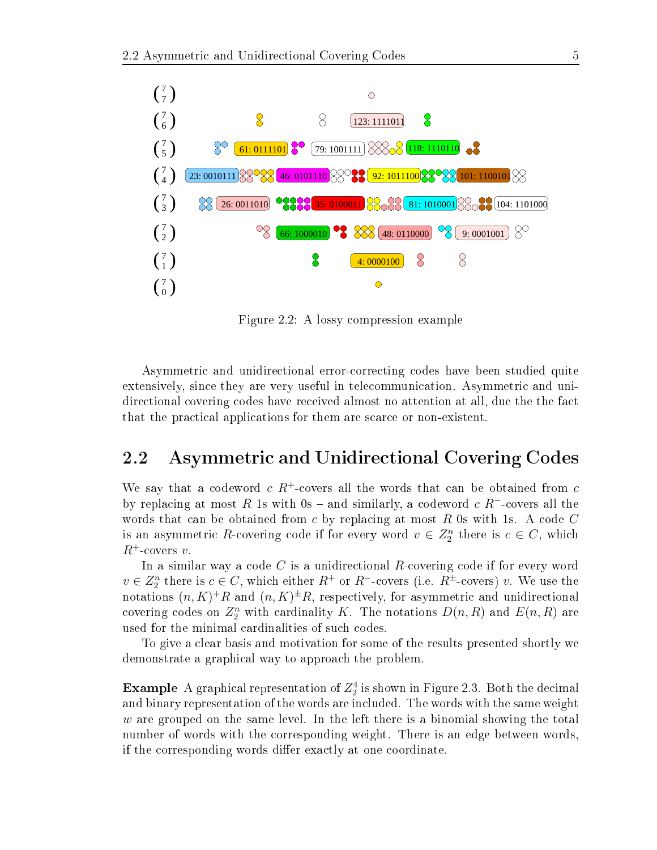

Figure 2.2: A lossy ompression example

Asymmetri and unidire
tional errororre
ting odes have been studied quite extensively, since they are very useful in telecommunication. Asymmetric and unidirectional covering codes have received almost no attention at all, due the the fact that the practical applications for them are scarce or non-existent.

### 2.2 Asymmetric and Unidirectional Covering Codes

We say that a codeword  $c R^+$ -covers all the words that can be obtained from  $c$ by replacing at most R 1s with 0s – and similarly, a codeword  $c R^-$ -covers all the words that can be obtained from c by replacing at most  $R$  0s with 1s. A code  $C$ is an asymmetric R-covering code if for every word  $v \in Z_2^n$  there is  $c \in C$ , which  $R^+$ -covers v.

In a similar way a code  $C$  is a unidirectional  $R$ -covering code if for every word  $v \in Z_2^n$  there is  $c \in C$ , which either  $R^+$  or  $R^-$ -covers (i.e.  $R^{\pm}$ -covers) v. We use the notations  $(n, K)^+R$  and  $(n, K)^{\pm}R$ , respectively, for asymmetric and unidirectional covering codes on  $\mathbb{Z}_2^n$  with cardinality K. The notations  $D(n,R)$  and  $E(n,R)$  are used for the minimal ardinalities of su
h odes.

To give a lear basis and motivation for some of the results presented shortly we demonstrate a graphi
al way to approa
h the problem.

 $\bf{Example\ \ }A\ {\rm graphical\ representation\ of}\ Z_2^4\ is\ shown\ in\ Figure\ 2.3.\ Both\ the\ decimal$ and binary representation of the words are included. The words with the same weight  $w$  are grouped on the same level. In the left there is a binomial showing the total number of words with the orresponding weight. There is an edge between words, if the corresponding words differ exactly at one coordinate.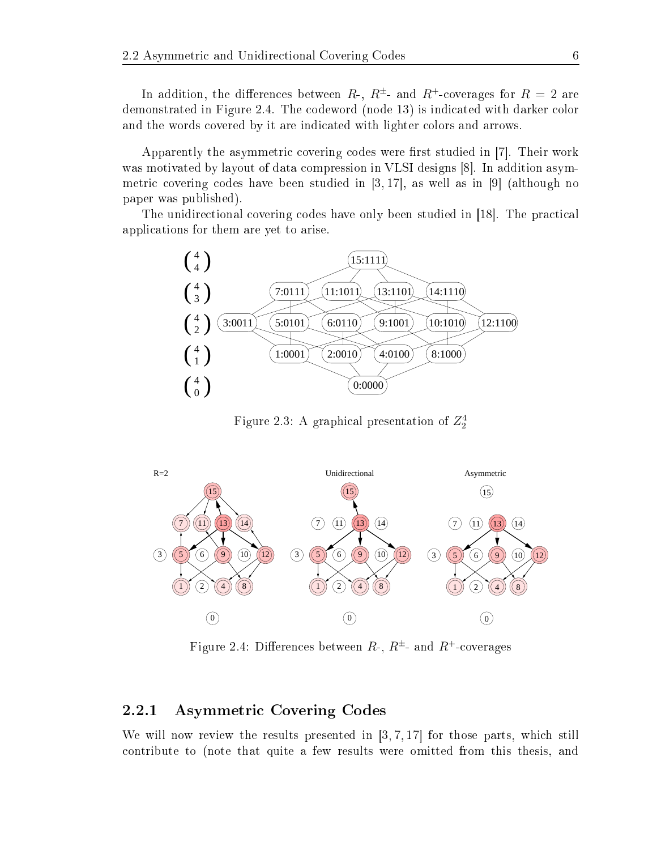In addition, the differences between  $R$ -,  $R^{\pm}$ - and  $R^{\pm}$ -coverages for  $R = 2$  are demonstrated in Figure 2.4. The codeword (node 13) is indicated with darker color and the words covered by it are indicated with lighter colors and arrows.

Apparently the asymmetric covering codes were first studied in [7]. Their work was motivated by layout of data compression in VLSI designs  $|8|$ . In addition asymmetric covering codes have been studied in [3, 17], as well as in [9] (although no paper was published).

The unidirectional covering codes have only been studied in [18]. The practical appli
ations for them are yet to arise.



Figure 2.3: A graphical presentation of  $Z_2^4$ 



Figure 2.4: Differences between  $R$ -,  $R^{\pm}$ - and  $R^+$ -coverages

### 2.2.1 Asymmetri Covering Codes

We will now review the results presented in  $\left[3, 7, 17\right]$  for those parts, which still ontribute to (note that quite a few results were omitted from this thesis, and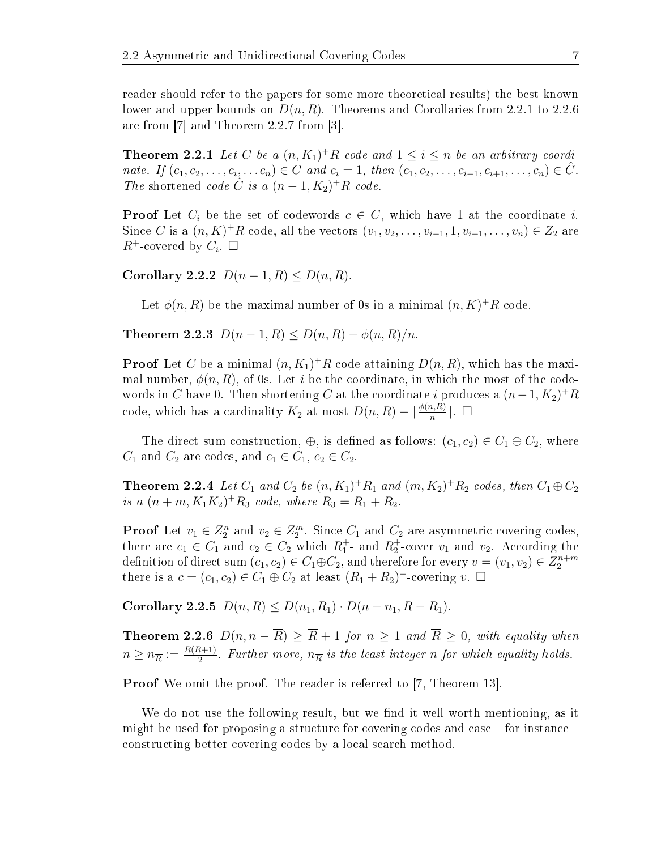reader should refer to the papers for some more theoreti
al results) the best known lower and upper bounds on  $D(n, R)$ . Theorems and Corollaries from 2.2.1 to 2.2.6 are from  $[7]$  and Theorem 2.2.7 from  $[3]$ .

**Theorem 2.2.1** Let C be a  $(n, K_1)^+R$  code and  $1 \leq i \leq n$  be an arbitrary coordinate. If  $(c_1, c_2, \ldots, c_i, \ldots, c_n) \in C$  and  $c_i = 1$ , then  $(c_1, c_2, \ldots, c_{i-1}, c_{i+1}, \ldots, c_n) \in \hat{C}$ . The shortened code  $\hat{C}$  is a  $(n-1, K_2)^+R$  code.

**Proof** Let  $C_i$  be the set of codewords  $c \in C$ , which have 1 at the coordinate i. Since C is a  $(n, K)^+R$  code, all the vectors  $(v_1, v_2, \ldots, v_{i-1}, 1, v_{i+1}, \ldots, v_n) \in Z_2$  are  $R^+$ -covered by  $C_i$ .  $\square$ 

Corollary 2.2.2  $D(n-1, R) \le D(n, R)$ .

Let  $\phi(n,R)$  be the maximal number of 0s in a minimal  $(n, K)^+R$  code.

Theorem 2.2.3  $D(n-1, R) \le D(n, R) - \phi(n, R)/n$ .

**Proof** Let C be a minimal  $(n, K_1)^+ R$  code attaining  $D(n, R)$ , which has the maximal number,  $\phi(n, R)$ , of 0s. Let i be the coordinate, in which the most of the codewords in  $C$  have 0. Then shortening  $C$  at the coordinate  $i$  produces a  $(n-1,K_2)^+R$ code, which has a cardinality  $K_2$  at most  $D(n, R) - \lceil \frac{\phi(n, R)}{n} \rceil$ .  $\Box$ 

The direct sum construction,  $\oplus$ , is defined as follows:  $(c_1, c_2) \in C_1 \oplus C_2$ , where  $C_1$  and  $C_2$  are codes, and  $c_1 \in C_1$ ,  $c_2 \in C_2$ .

**Theorem 2.2.4** Let  $C_1$  and  $C_2$  be  $(n, K_1)^+R_1$  and  $(m, K_2)^+R_2$  codes, then  $C_1 \oplus C_2$ is a  $(n+m, K_1K_2)^+R_3$  code, where  $R_3 = R_1 + R_2$ .

**Proof** Let  $v_1 \in Z_2^n$  and  $v_2 \in Z_2^m$ . Since  $C_1$  and  $C_2$  are asymmetric covering codes, there are  $c_1 \in C_1$  and  $c_2 \in C_2$  which  $R_1^+$ - and  $R_2^+$ -cover  $v_1$  and  $v_2$ . According the definition of direct sum  $(c_1, c_2) \in C_1 \oplus C_2$ , and therefore for every  $v = (v_1, v_2) \in Z_2^{n+m}$ there is a  $c = (c_1, c_2) \in C_1 \oplus C_2$  at least  $(R_1 + R_2)^+$ -covering  $v$ .  $\Box$ 

Corollary 2.2.5  $D(n, R) \leq D(n_1, R_1) \cdot D(n - n_1, R - R_1)$ .

**Theorem 2.2.6**  $D(n, n - \overline{R}) \geq \overline{R} + 1$  for  $n \geq 1$  and  $\overline{R} \geq 0$ , with equality when  $n \geq n_{\overline{R}} := \frac{R(R+1)}{2}$  $\frac{n+1}{2}$ . Further more,  $n_{\overline{R}}$  is the least integer n for which equality holds.

**Proof** We omit the proof. The reader is referred to [7, Theorem 13].

We do not use the following result, but we find it well worth mentioning, as it might be used for proposing a structure for covering codes and ease  $-$  for instance  $$ onstru
ting better overing odes by a lo
al sear
h method.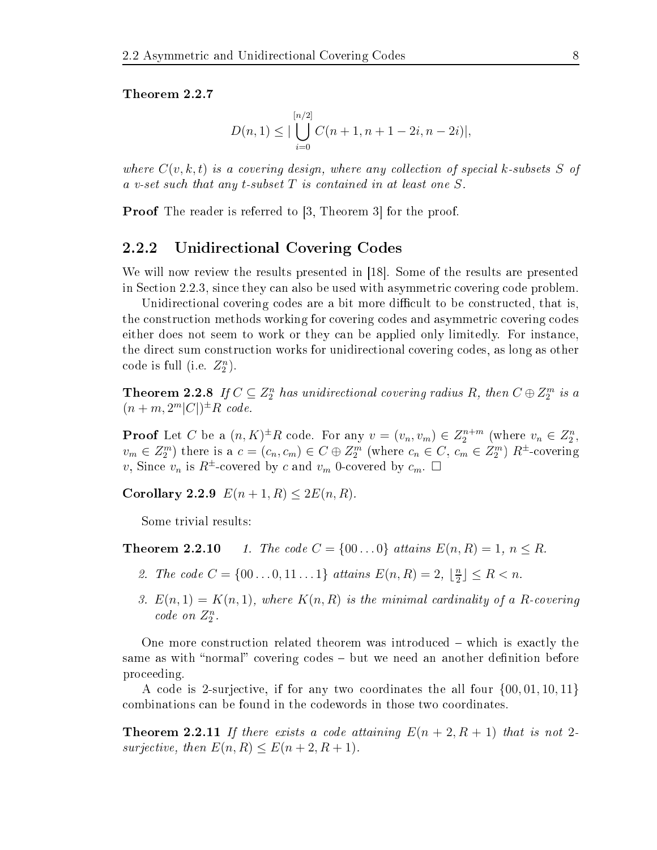Theorem 2.2.7

$$
D(n, 1) \leq |\bigcup_{i=0}^{[n/2]} C(n+1, n+1-2i, n-2i)|,
$$

where  $C(v, k, t)$  is a covering design, where any collection of special k-subsets S of a v-set such that any t-subset  $T$  is contained in at least one  $S$ .

**Proof** The reader is referred to  $[3,$  Theorem 3 for the proof.

### 2.2.2 Unidire
tional Covering Codes

We will now review the results presented in [18]. Some of the results are presented in Section 2.2.3, since they can also be used with asymmetric covering code problem.

Unidirectional covering codes are a bit more difficult to be constructed, that is, the construction methods working for covering codes and asymmetric covering codes either does not seem to work or they can be applied only limitedly. For instance, the direct sum construction works for unidirectional covering codes, as long as other code is full (i.e.  $Z_2^n$ ).

**Theorem 2.2.8** If  $C \subseteq Z_2^n$  has unidirectional covering radius R, then  $C \oplus Z_2^m$  is a  $(n+m,2^m|C|)^{\pm}R$  code.

**Proof** Let C be a  $(n, K)^{\pm}R$  code. For any  $v = (v_n, v_m) \in Z_2^{n+m}$  (where  $v_n \in Z_2^n$ ,  $v_m \in Z_2^m$ ) there is a  $c = (c_n, c_m) \in C \oplus Z_2^m$  (where  $c_n \in C$ ,  $c_m \in Z_2^m$ )  $R^{\pm}$ -covering v, Since  $v_n$  is  $R^{\pm}$ -covered by c and  $v_m$  0-covered by  $c_m$ .  $\Box$ 

Corollary 2.2.9  $E(n + 1, R) \leq 2E(n, R)$ .

Some trivial results:

**Theorem 2.2.10** 1. The code  $C = \{00...0\}$  attains  $E(n, R) = 1, n \leq R$ .

- 2. The code  $C = \{00...0, 11...1\}$  attains  $E(n, R) = 2, \lfloor \frac{n}{2} \rfloor$  $\frac{n}{2}$  $\leq R$  < n.
- 3.  $E(n,1) = K(n,1)$ , where  $K(n, R)$  is the minimal cardinality of a R-covering  $code\; on\; Z_2^n$ .

One more construction related theorem was introduced – which is exactly the same as with "normal" covering codes – but we need an another definition before pro
eeding.

<sup>A</sup> ode is 2-surje
tive, if for any two oordinates the all four {00, 01, 10, 11} ombinations an be found in the odewords in those two oordinates.

**Theorem 2.2.11** If there exists a code attaining  $E(n+2, R+1)$  that is not 2surjective, then  $E(n, R) \leq E(n+2, R+1)$ .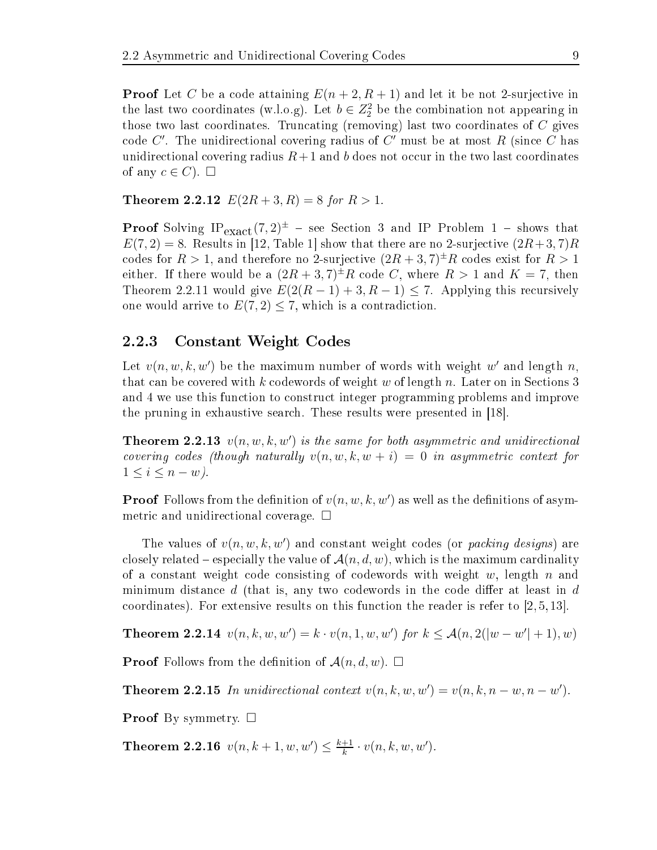**Proof** Let C be a code attaining  $E(n+2, R+1)$  and let it be not 2-surjective in the last two coordinates (w.l.o.g). Let  $b \in Z_2^2$  be the combination not appearing in those two last coordinates. Truncating (removing) last two coordinates of  $C$  gives code  $C'$ . The unidirectional covering radius of  $C'$  must be at most  $R$  (since  $C$  has unidirectional covering radius  $R+1$  and b does not occur in the two last coordinates of any  $c \in C$ .  $\square$ 

**Theorem 2.2.12**  $E(2R+3, R) = 8$  for  $R > 1$ .

**Proof** Solving  $IP_{\text{exact}}(7,2)^{\pm}$  – see Section 3 and IP Problem 1 – shows that  $E(7,2) = 8$ . Results in [12, Table 1] show that there are no 2-surjective  $(2R+3,7)R$ codes for  $R > 1$ , and therefore no 2-surjective  $(2R + 3, 7)^{\pm}R$  codes exist for  $R > 1$ either. If there would be a  $(2R+3, 7)^{\pm}R$  code C, where  $R > 1$  and  $K = 7$ , then Theorem 2.2.11 would give  $E(2(R-1)+3, R-1) \le 7$ . Applying this recursively one would arrive to  $E(7,2) \leq 7$ , which is a contradiction.

### 2.2.3 Constant Weight Codes

Let  $v(n, w, k, w')$  be the maximum number of words with weight w' and length n, that can be covered with k codewords of weight w of length n. Later on in Sections 3 and 4 we use this fun
tion to onstru
t integer programming problems and improve the pruning in exhaustive search. These results were presented in [18].

**Theorem 2.2.13**  $v(n, w, k, w')$  is the same for both asymmetric and unidirectional covering codes (though naturally  $v(n, w, k, w + i) = 0$  in asymmetric context for  $1 \leq i \leq n - w$ ).

**Proof** Follows from the definition of  $v(n, w, k, w')$  as well as the definitions of asymmetric and unidirectional coverage.  $\Box$ 

The values of  $v(n, w, k, w')$  and constant weight codes (or packing designs) are closely related – especially the value of  $\mathcal{A}(n,d,w)$ , which is the maximum cardinality of a constant weight code consisting of codewords with weight w, length n and minimum distance  $d$  (that is, any two codewords in the code differ at least in  $d$ coordinates). For extensive results on this function the reader is refer to  $(2, 5, 13)$ .

**Theorem 2.2.14**  $v(n, k, w, w') = k \cdot v(n, 1, w, w')$  for  $k \leq A(n, 2(|w - w'| + 1), w)$ 

**Proof** Follows from the definition of  $\mathcal{A}(n, d, w)$ .  $\Box$ 

**Theorem 2.2.15** In unidirectional context  $v(n, k, w, w') = v(n, k, n - w, n - w')$ .

**Proof** By symmetry.  $\Box$ 

**Theorem 2.2.16**  $v(n, k+1, w, w') \leq \frac{k+1}{k}$  $\frac{+1}{k}\cdot v(n,k,w,w').$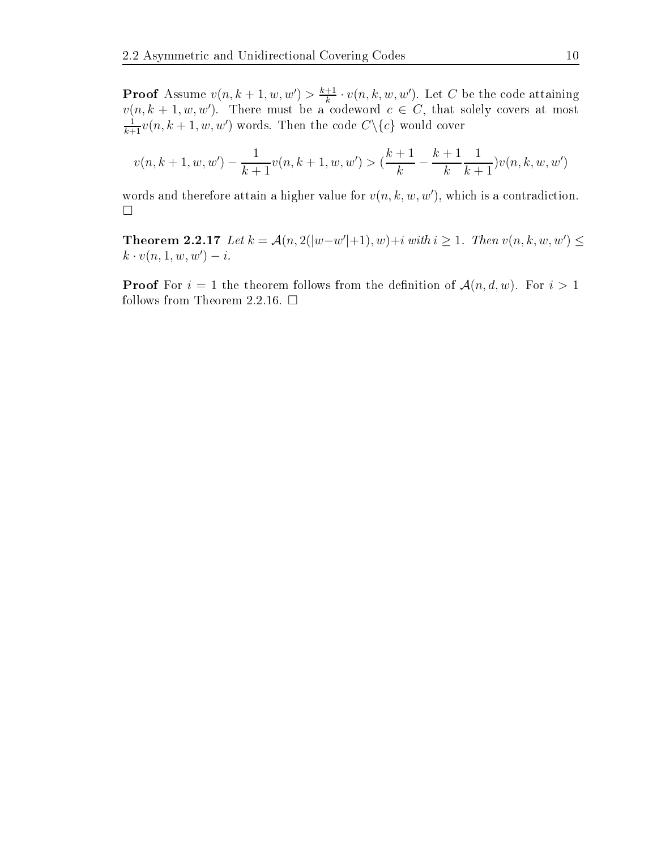**Proof** Assume  $v(n, k+1, w, w') > \frac{k+1}{k}$  $\frac{+1}{k} \cdot v(n, k, w, w')$ . Let C be the code attaining  $v(n, k+1, w, w')$ . There must be a codeword  $c \in C$ , that solely covers at most  $\frac{1}{k+1}v(n,k+1,w,w')$  words. Then the code  $C\backslash\{c\}$  would cover

$$
v(n, k+1, w, w') - \frac{1}{k+1}v(n, k+1, w, w') > (\frac{k+1}{k} - \frac{k+1}{k} \frac{1}{k+1})v(n, k, w, w')
$$

words and therefore attain a higher value for  $v(n, k, w, w')$ , which is a contradiction.  $\Box$ 

**Theorem 2.2.17** Let  $k = A(n, 2(|w-w'|+1), w)+i$  with  $i ≥ 1$ . Then  $v(n, k, w, w') ≤$  $k \cdot v(n, 1, w, w') - i.$ 

**Proof** For  $i = 1$  the theorem follows from the definition of  $\mathcal{A}(n, d, w)$ . For  $i > 1$ follows from Theorem 2.2.16.  $\Box$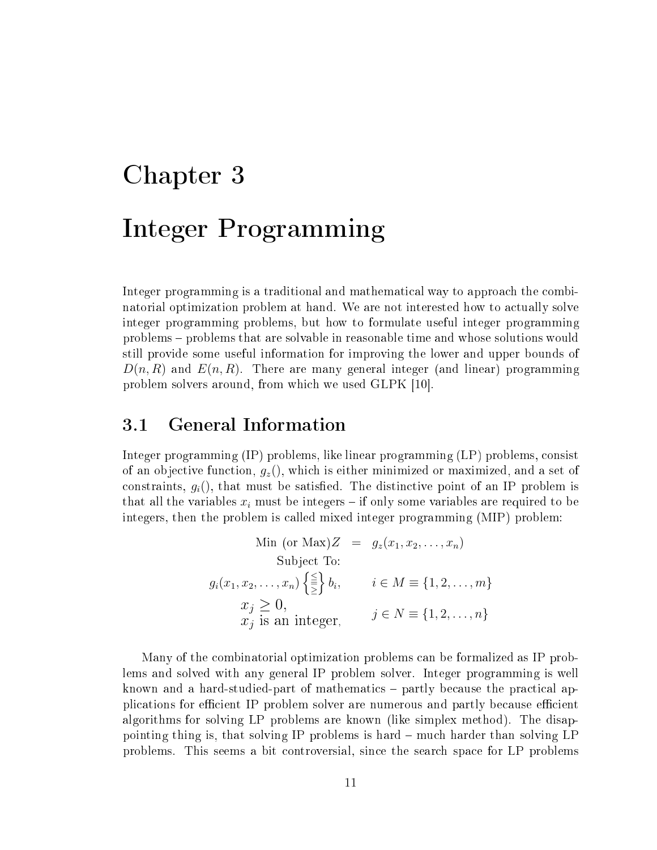# Chapter 3 Integer Programming

Integer programming is a traditional and mathematical way to approach the combinatorial optimization problem at hand. We are not interested how to actually solve integer programming problems, but how to formulate useful integer programming problems problems that are solvable in reasonable time and whose solutions would still provide some useful information for improving the lower and upper bounds of  $D(n, R)$  and  $E(n, R)$ . There are many general integer (and linear) programming problem solvers around, from which we used GLPK [10].

### 3.1 General Information

Integer programming (IP) problems, like linear programming (LP) problems, onsist of an objective function,  $g_z()$ , which is either minimized or maximized, and a set of constraints,  $g_i$ ), that must be satisfied. The distinctive point of an IP problem is that all the variables  $x_i$  must be integers – if only some variables are required to be integers, then the problem is alled mixed integer programming (MIP) problem:

Min (or Max)Z = 
$$
g_z(x_1, x_2, ..., x_n)
$$
  
\nSubject To:  
\n $g_i(x_1, x_2, ..., x_n) \left\{ \frac{\leq}{\geq} \right\} b_i, \quad i \in M \equiv \{1, 2, ..., m\}$   
\n $x_j \geq 0,$   
\n $x_j$  is an integer,  $j \in N \equiv \{1, 2, ..., n\}$ 

Many of the ombinatorial optimization problems an be formalized as IP problems and solved with any general IP problem solver. Integer programming is well known and a hard-studied-part of mathematics – partly because the practical applications for efficient IP problem solver are numerous and partly because efficient algorithms for solving LP problems are known (like simplex method). The disappointing thing is, that solving IP problems is hard – much harder than solving LP problems. This seems a bit ontroversial, sin
e the sear
h spa
e for LP problems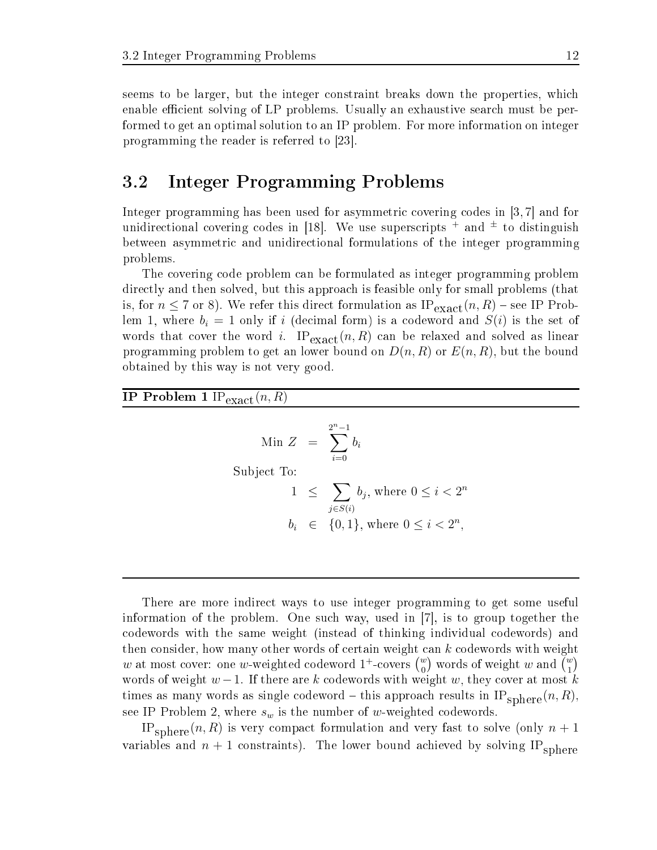seems to be larger, but the integer constraint breaks down the properties, which enable efficient solving of LP problems. Usually an exhaustive search must be performed to get an optimal solution to an IP problem. For more information on integer programming the reader is referred to  $[23]$ .

### 3.2 Integer Programming Problems

Integer programming has been used for asymmetric covering codes in  $[3, 7]$  and for unidirectional covering codes in [18]. We use superscripts  $+$  and  $\pm$  to distinguish between asymmetric and unidirectional formulations of the integer programming problems.

The overing ode problem an be formulated as integer programming problem dire
tly and then solved, but this approa
h is feasible only for small problems (that is, for  $n \leq 7$  or 8). We refer this direct formulation as  $IP_{\text{exact}}(n, R)$  – see IP Problem 1, where  $b_i = 1$  only if i (decimal form) is a codeword and  $S(i)$  is the set of words that cover the word i.  $IP_{\text{exact}}(n, R)$  can be relaxed and solved as linear programming problem to get an lower bound on  $D(n, R)$  or  $E(n, R)$ , but the bound obtained by this way is not very good.

IP Problem 1  $IP_{\text{exact}}(n, R)$ 

$$
\begin{aligned}\n\text{Min } Z &= \sum_{i=0}^{2^n - 1} b_i \\
\text{Subject To:} \\
1 &\le \sum_{j \in S(i)} b_j, \text{ where } 0 \le i < 2^n \\
b_i &\in \{0, 1\}, \text{ where } 0 \le i < 2^n,\n\end{aligned}
$$

There are more indire
t ways to use integer programming to get some useful information of the problem. One such way, used in  $|7|$ , is to group together the odewords with the same weight (instead of thinking individual odewords) and then consider, how many other words of certain weight can k codewords with weight  $w$  at most cover: one  $w$ -weighted codeword  $1^+$ -covers  $\binom{w}{0}$  words of weight  $w$  and  $\binom{w}{1}$ words of weight  $w-1$ . If there are k codewords with weight w, they cover at most k times as many words as single codeword – this approach results in  $IP_{\text{sphere}}(n, R)$ , see IP Problem 2, where  $s_w$  is the number of w-weighted codewords.

IP<sub>sphere</sub> $(n, R)$  is very compact formulation and very fast to solve (only  $n + 1$ ) variables and  $n + 1$  constraints). The lower bound achieved by solving IP<sub>sphere</sub>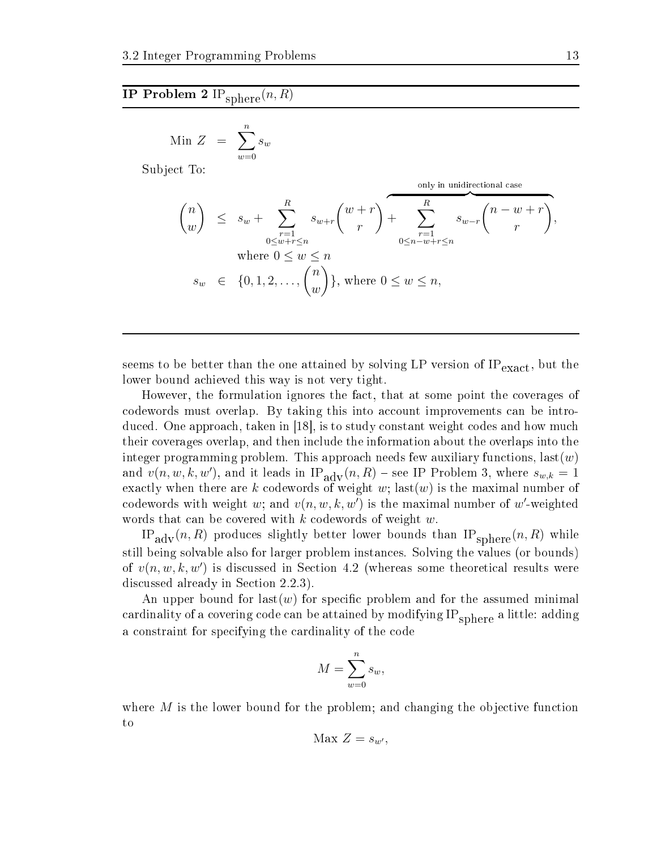### IP Problem 2  $\overline{\mathrm{IP}_{\mathrm{sphere}}}(n,R)$

$$
\text{Min } Z = \sum_{w=0}^{n} s_w
$$

Subje
t To:

only in unidirectional case  
\n
$$
\binom{n}{w} \leq s_w + \sum_{\substack{r=1 \ 0 \leq w+r \leq n}}^{R} s_{w+r} \binom{w+r}{r} + \sum_{\substack{r=1 \ 0 \leq n-w+r \leq n}}^{R} s_{w-r} \binom{n-w+r}{r},
$$
\nwhere  $0 \leq w \leq n$   
\n
$$
s_w \in \{0, 1, 2, \ldots, \binom{n}{w}\}, \text{ where } 0 \leq w \leq n,
$$

seems to be better than the one attained by solving LP version of  $IP_{\text{exact}}$ , but the lower bound a
hieved this way is not very tight.

However, the formulation ignores the fact, that at some point the coverages of codewords must overlap. By taking this into account improvements can be introduced. One approach, taken in  $\vert 18 \vert$ , is to study constant weight codes and how much their overages overlap, and then in
lude the information about the overlaps into the integer programming problem. This approach needs few auxiliary functions,  $last(w)$ and  $v(n, w, k, w')$ , and it leads in  $IP_{\text{adv}}(n, R)$  – see IP Problem 3, where  $s_{w,k} = 1$ exactly when there are k codewords of weight w; last(w) is the maximal number of codewords with weight w; and  $v(n, w, k, w')$  is the maximal number of w'-weighted words that can be covered with  $k$  codewords of weight  $w$ .

IP<sub>adv</sub> $(n, R)$  produces slightly better lower bounds than IP<sub>sphere</sub> $(n, R)$  while still being solvable also for larger problem instan
es. Solving the values (or bounds) of  $v(n, w, k, w')$  is discussed in Section 4.2 (whereas some theoretical results were discussed already in Section 2.2.3).

An upper bound for last(w) for specific problem and for the assumed minimal cardinality of a covering code can be attained by modifying  $IP_{\text{sphere}}$  a little: adding a constraint for specifying the cardinality of the code

$$
M = \sum_{w=0}^{n} s_w,
$$

where  $M$  is the lower bound for the problem; and changing the objective function to

$$
\text{Max } Z = s_{w'},
$$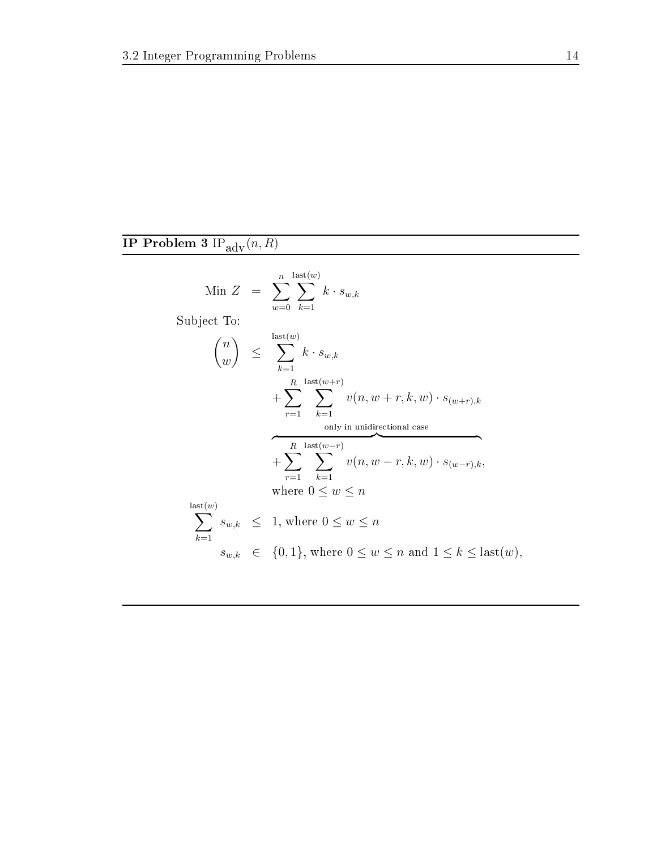### IP Problem 3 $\mathrm{IP}_{\mathrm{adv}}(n, R)$

$$
\begin{array}{rcl}\n\text{Min } Z & = & \sum_{w=0}^{n} \sum_{k=1}^{\text{last}(w)} k \cdot s_{w,k} \\
\text{Subject To:} \\
\binom{n}{w} & \leq & \sum_{k=1}^{\text{last}(w)} k \cdot s_{w,k} \\
& & + \sum_{r=1}^{R} \sum_{k=1}^{\text{last}(w+r)} v(n, w+r, k, w) \cdot s_{(w+r),k} \\
& & \text{only in unidirectional case} \\
& & + \sum_{r=1}^{R} \sum_{k=1}^{\text{last}(w-r)} v(n, w-r, k, w) \cdot s_{(w-r),k}, \\
\text{where } 0 \leq w \leq n \\
\sum_{k=1}^{\text{last}(w)} s_{w,k} & \leq 1, \text{ where } 0 \leq w \leq n \\
& s_{w,k} \in \{0, 1\}, \text{ where } 0 \leq w \leq n \text{ and } 1 \leq k \leq \text{last}(w),\n\end{array}
$$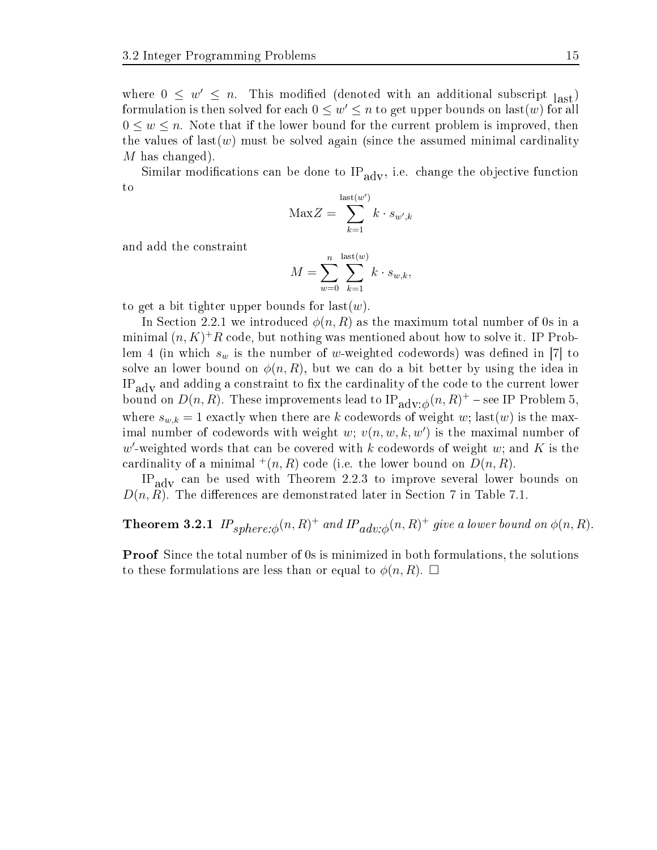where  $0 \leq w' \leq n$ . This modified (denoted with an additional subscript  $\text{last}$ ) formulation is then solved for each  $0 \leq w' \leq n$  to get upper bounds on last(w) for all  $0 \leq w \leq n$ . Note that if the lower bound for the current problem is improved, then the values of  $last(w)$  must be solved again (since the assumed minimal cardinality M has changed).

Similar modifications can be done to  $IP_{\text{adv}}$ , i.e. change the objective function to

$$
\text{Max}Z = \sum_{k=1}^{\text{last}(w')} k \cdot s_{w',k}
$$

and add the onstraint

$$
M = \sum_{w=0}^{n} \sum_{k=1}^{\text{last}(w)} k \cdot s_{w,k},
$$

to get a bit tighter upper bounds for last $(w)$ .

In Section 2.2.1 we introduced  $\phi(n, R)$  as the maximum total number of 0s in a minimal  $(n, K)^+R$  code, but nothing was mentioned about how to solve it. IP Problem 4 (in which  $s_w$  is the number of w-weighted codewords) was defined in [7] to solve an lower bound on  $\phi(n, R)$ , but we can do a bit better by using the idea in  $IP_{\text{adv}}$  and adding a constraint to fix the cardinality of the code to the current lower bound on  $D(n,R)$ . These improvements lead to  $\text{IP}_{\text{adv}:\phi}(n,R)^+$  – see IP Problem 5, where  $s_{w,k} = 1$  exactly when there are k codewords of weight w; last(w) is the maximal number of codewords with weight  $w; v(n, w, k, w')$  is the maximal number of  $w'$ -weighted words that can be covered with k codewords of weight w; and K is the cardinality of a minimal  $^+(n, R)$  code (i.e. the lower bound on  $D(n, R)$ .

IP<sub>adv</sub> can be used with Theorem 2.2.3 to improve several lower bounds on  $D(n, R)$ . The differences are demonstrated later in Section 7 in Table 7.1.

**Theorem 3.2.1**  $IP_{sphere:\phi}(n, R)^{+}$  and  $IP_{adv:\phi}(n, R)^{+}$  give a lower bound on  $\phi(n, R)$ .

**Proof** Since the total number of 0s is minimized in both formulations, the solutions to these formulations are less than or equal to  $\phi(n, R)$ .  $\Box$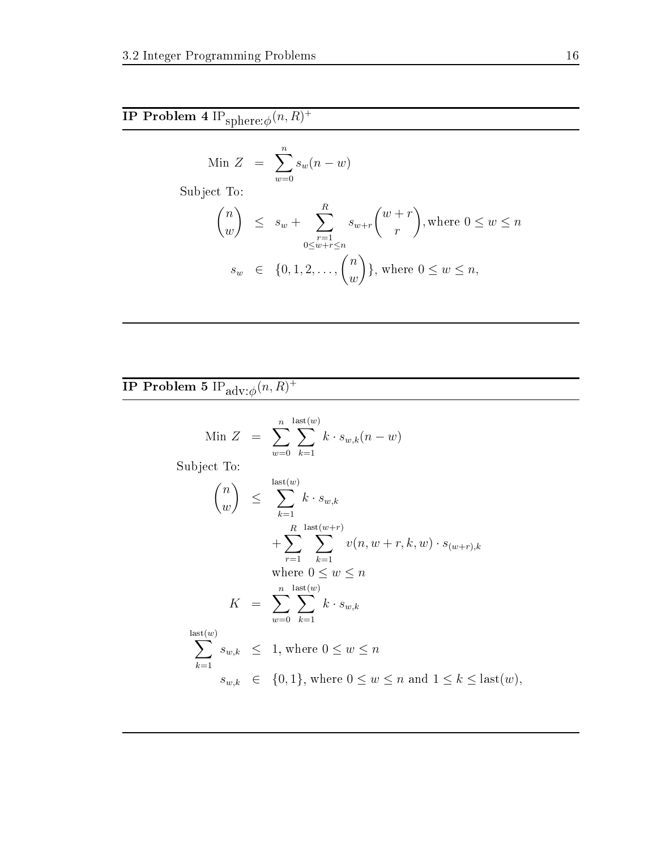$$
\text{Min } Z = \sum_{w=0}^{n} s_w (n - w)
$$

Subje
t To:

$$
\binom{n}{w} \leq s_w + \sum_{\substack{r=1 \ 0 \leq w+r \leq n}}^{R} s_{w+r} \binom{w+r}{r}, \text{where } 0 \leq w \leq n
$$
  

$$
s_w \in \{0, 1, 2, \dots, \binom{n}{w}\}, \text{ where } 0 \leq w \leq n,
$$

### ${\bf IP}$  Problem 5  ${\rm IP}_{\rm adv:\phi}(n,R)^+$

$$
\text{Min } Z = \sum_{w=0}^{n} \sum_{k=1}^{\text{last}(w)} k \cdot s_{w,k}(n-w)
$$

Subje
t To:

$$
\binom{n}{w} \leq \sum_{k=1}^{\text{last}(w)} k \cdot s_{w,k}
$$
\n
$$
+ \sum_{r=1}^{R} \sum_{k=1}^{\text{last}(w+r)} v(n, w+r, k, w) \cdot s_{(w+r),k}
$$
\nwhere  $0 \leq w \leq n$   
\n
$$
K = \sum_{w=0}^{n} \sum_{k=1}^{\text{last}(w)} k \cdot s_{w,k}
$$
\n
$$
\sum_{k=1}^{\text{last}(w)} s_{w,k} \leq 1, \text{ where } 0 \leq w \leq n
$$
\n
$$
s_{w,k} \in \{0, 1\}, \text{ where } 0 \leq w \leq n \text{ and } 1 \leq k \leq \text{last}(w),
$$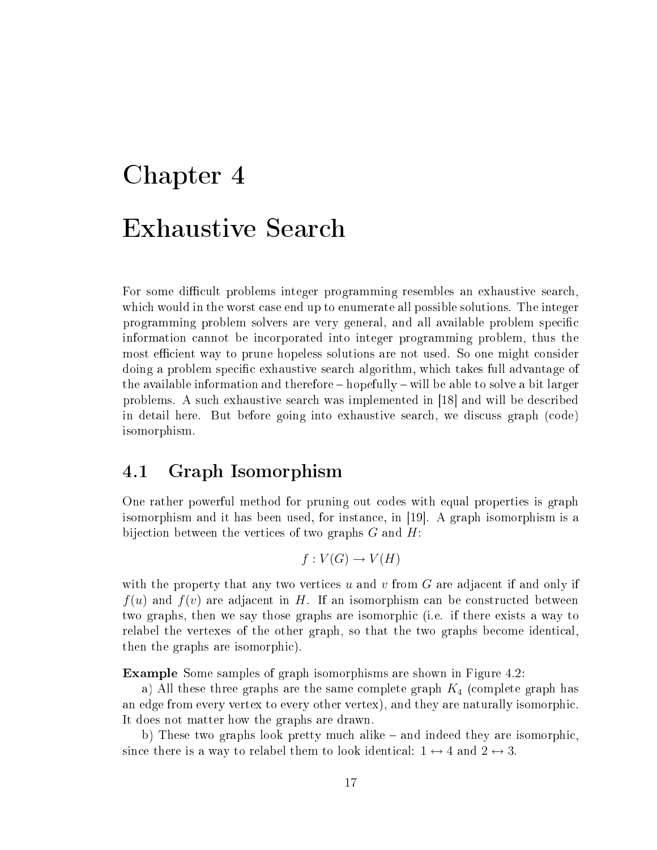# Chapter 4

For some difficult problems integer programming resembles an exhaustive search, which would in the worst case end up to enumerate all possible solutions. The integer programming problem solvers are very general, and all available problem spe
i information annot be in
orporated into integer programming problem, thus the most efficient way to prune hopeless solutions are not used. So one might consider doing a problem specific exhaustive search algorithm, which takes full advantage of the available information and therefore  $-$  hopefully  $-$  will be able to solve a bit larger problems. A such exhaustive search was implemented in [18] and will be described in detail here. But before going into exhaustive sear
h, we dis
uss graph (
ode) isomorphism.

### 4.1 Graph Isomorphism

One rather powerful method for pruning out odes with equal properties is graph isomorphism and it has been used, for instance, in  $|19|$ . A graph isomorphism is a bijection between the vertices of two graphs  $G$  and  $H$ :

$$
f: V(G) \to V(H)
$$

with the property that any two vertices  $u$  and  $v$  from  $G$  are adjacent if and only if  $f(u)$  and  $f(v)$  are adjacent in H. If an isomorphism can be constructed between two graphs, then we say those graphs are isomorphi (i.e. if there exists a way to relabel the vertexes of the other graph, so that the two graphs become identical. then the graphs are isomorphi
).

Example Some samples of graph isomorphisms are shown in Figure 4.2:

a) All these three graphs are the same complete graph  $K_4$  (complete graph has an edge from every vertex to every other vertex), and they are naturally isomorphi
. It does not matter how the graphs are drawn.

b) These two graphs look pretty much alike – and indeed they are isomorphic, since there is a way to relabel them to look identical:  $1 \leftrightarrow 4$  and  $2 \leftrightarrow 3$ .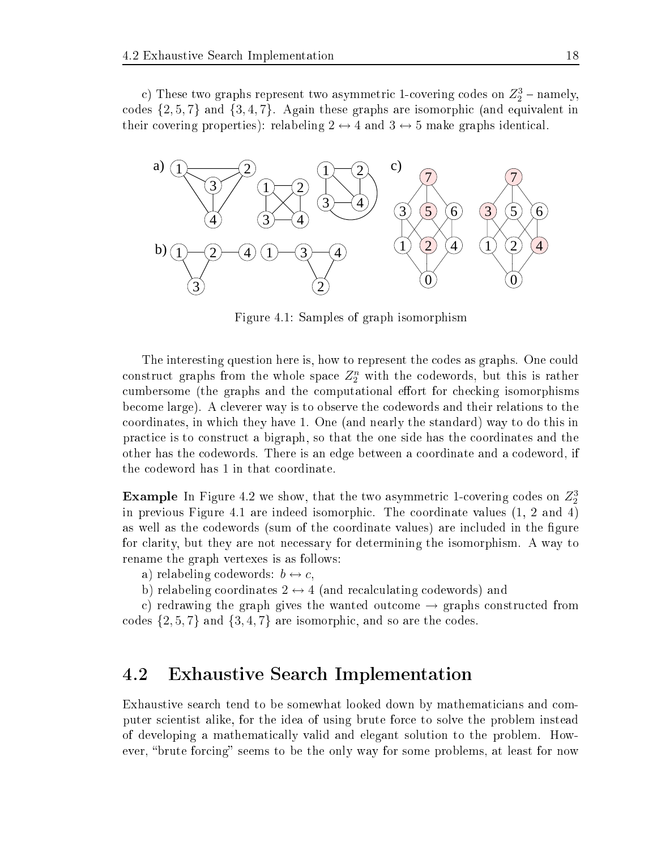c) These two graphs represent two asymmetric 1-covering codes on  $Z_2^3$  – namely, codes  $\{2, 5, 7\}$  and  $\{3, 4, 7\}$ . Again these graphs are isomorphic (and equivalent in their covering properties): relabeling  $2 \leftrightarrow 4$  and  $3 \leftrightarrow 5$  make graphs identical.



Figure 4.1: Samples of graph isomorphism

The interesting question here is, how to represent the codes as graphs. One could construct graphs from the whole space  $Z_2^n$  with the codewords, but this is rather cumbersome (the graphs and the computational effort for checking isomorphisms be
ome large). A leverer way is to observe the odewords and their relations to the oordinates, in whi
h they have 1. One (and nearly the standard) way to do this in pra
ti
e is to onstru
t a bigraph, so that the one side has the oordinates and the other has the odewords. There is an edge between a oordinate and a odeword, if the odeword has 1 in that oordinate.

**Example** In Figure 4.2 we show, that the two asymmetric 1-covering codes on  $Z_2^3$ in previous Figure 4.1 are indeed isomorphic. The coordinate values  $(1, 2 \text{ and } 4)$ as well as the codewords (sum of the coordinate values) are included in the figure for larity, but they are not ne
essary for determining the isomorphism. A way to rename the graph vertexes is as follows:

a) relabeling codewords:  $b \leftrightarrow c$ ,

b) relabeling coordinates  $2 \leftrightarrow 4$  (and recalculating codewords) and

c) redrawing the graph gives the wanted outcome  $\rightarrow$  graphs constructed from codes  $\{2, 5, 7\}$  and  $\{3, 4, 7\}$  are isomorphic, and so are the codes.

### 4.2 Exhaustive Sear
h Implementation

Exhaustive search tend to be somewhat looked down by mathematicians and computer scientist alike, for the idea of using brute force to solve the problem instead of developing a mathemati
ally valid and elegant solution to the problem. However, "brute forcing" seems to be the only way for some problems, at least for now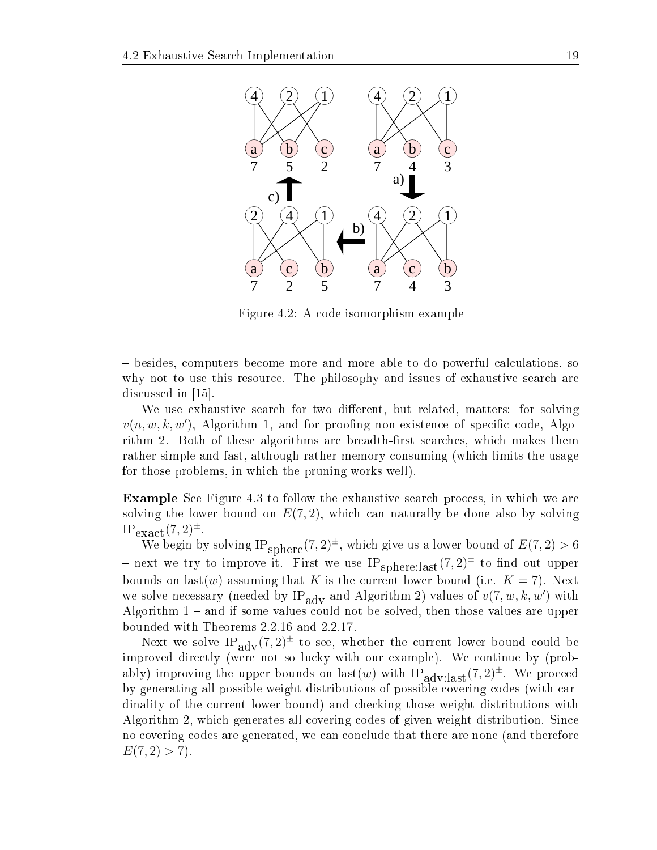

Figure 4.2: A ode isomorphism example

– besides, computers become more and more able to do powerful calculations, so why not to use this resource. The philosophy and issues of exhaustive search are discussed in  $[15]$ .

We use exhaustive search for two different, but related, matters: for solving  $v(n, w, k, w')$ , Algorithm 1, and for proofing non-existence of specific code, Algorithm 2. Both of these algorithms are breadth-first searches, which makes them rather simple and fast, although rather memoryonsuming (whi
h limits the usage for those problems, in whi
h the pruning works well).

**Example** See Figure 4.3 to follow the exhaustive search process, in which we are solving the lower bound on  $E(7,2)$ , which can naturally be done also by solving  $IP_{\text{exact}}(7,2)^{\pm}.$ 

We begin by solving  $IP_{\text{sphere}}(7,2)^{\pm}$ , which give us a lower bound of  $E(7,2) > 6$ - next we try to improve it. First we use  $IP_{\text{sphere:last}}(7,2)^{\pm}$  to find out upper bounds on last(w) assuming that K is the current lower bound (i.e.  $K = 7$ ). Next we solve necessary (needed by IP<sub>ady</sub> and Algorithm 2) values of  $v(7, w, k, w')$  with Algorithm  $1$  – and if some values could not be solved, then those values are upper bounded with Theorems 2.2.16 and 2.2.17.

Next we solve IP<sub>adv</sub> $(7,2)^{\pm}$  to see, whether the current lower bound could be improved directly (were not so lucky with our example). We continue by (probably) improving the upper bounds on last(w) with  $IP_{\text{adv:last}}(7,2)^{\pm}$ . We proceed by generating all possible weight distributions of possible covering codes (with cardinality of the current lower bound) and checking those weight distributions with Algorithm 2, which generates all covering codes of given weight distribution. Since no covering codes are generated, we can conclude that there are none (and therefore  $E(7,2) > 7$ .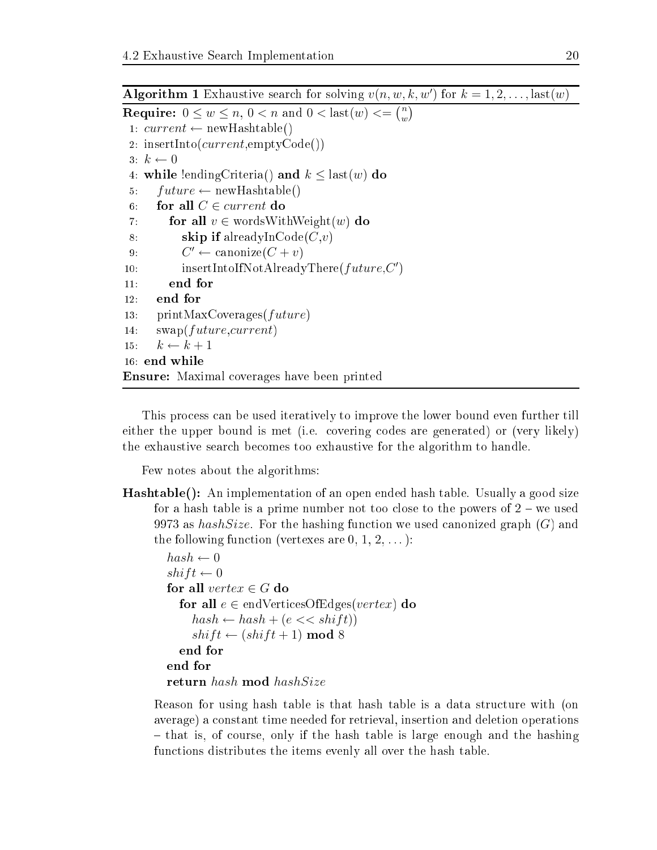Algorithm 1 Exhaustive search for solving  $v(n, w, k, w')$  for  $k = 1, 2, ...,$  last $(w)$ **Require:**  $0 \leq w \leq n, 0 < n$  and  $0 <$  last $(w) <$ =  $\binom{n}{w}$  $\binom{n}{w}$ 1:  $current \leftarrow newHashtable()$ 2: insertInto( $current$ ,emptyCode()) 3:  $k \leftarrow 0$ 4: while lending Criteria() and  $k \leq$  last(w) do 5:  $future \leftarrow newHashtable()$ 6: for all  $C \in current$  do 7: for all  $v \in \text{wordsWithWeight}(w)$  do 8: skip if alreadyInCode $(C, v)$ 9:  $C' \leftarrow \text{canonize}(C + v)$ 10: insertIntoIfNotAlreadyThere( $future, C'$ ) end for  $11:$ 12: end for 13: printMaxCoverages(future) 14:  $swap(future, current)$ 15:  $k \leftarrow k+1$ 16: end while Ensure: Maximal overages have been printed

This pro
ess an be used iteratively to improve the lower bound even further till either the upper bound is met (i.e. covering codes are generated) or (very likely) the exhaustive sear
h be
omes too exhaustive for the algorithm to handle.

Few notes about the algorithms:

Hashtable(): An implementation of an open ended hash table. Usually a good size for a hash table is a prime number not too close to the powers of  $2 - we$  used 9973 as  $hashSize$ . For the hashing function we used canonized graph  $(G)$  and the following function (vertexes are  $0, 1, 2, \ldots$ ):

```
hash \leftarrow 0shift \leftarrow 0for all vertex \in G do
  for all e \in \text{endVerticesOfEdges}(vertex) do
     hash \leftarrow hash + (e \ll shift)shift \leftarrow (shift + 1) \text{ mod } 8end for
end for
return hash mod hashSize
```
Reason for using hash table is that hash table is a data stru
ture with (on average) a onstant time needed for retrieval, insertion and deletion operations - that is, of course, only if the hash table is large enough and the hashing fun
tions distributes the items evenly all over the hash table.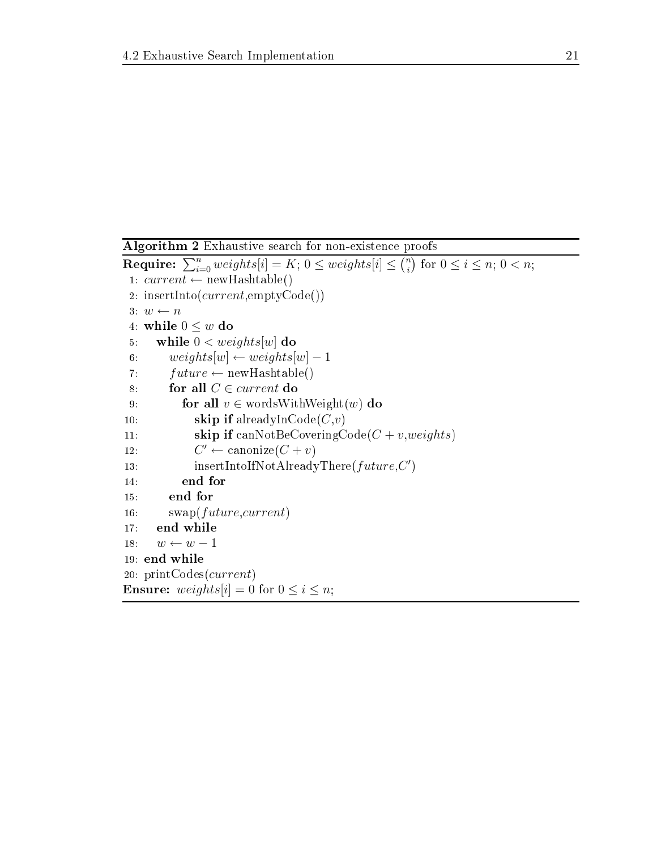Algorithm 2 Exhaustive sear
h for non-existen
e proofs Require:  $\sum_{i=0}^n weights[i]=K; \, 0 \leq weights[i] \leq {n \choose i}$  $\binom{n}{i}$  for  $0 \leq i \leq n$ ;  $0 < n$ ; 1:  $current \leftarrow newHashtable()$ 2: insertInto( $current$ ,emptyCode()) 3:  $w \leftarrow n$ 4: while  $0 \leq w$  do 5: while  $0 < weights[w]$  do 6: weights[w]  $\leftarrow weights[w] - 1$ 7:  $future \leftarrow newHashtable()$ 8: for all  $C \in current$  do 9: **for all**  $v \in \text{wordsWithWeight}(w)$  do 10: **skip if** alreadyInCode $(C, v)$ 11: **skip if** canNotBeCoveringCode( $C + v, weights$ )  $12:$  $C' \leftarrow \text{canonical}(C + v)$ 13: insertIntoIfNotAlreadyThere $(future, C')$ 14: end for 15: end for 16:  $swap(future, current)$ 17: end while 18:  $w \leftarrow w - 1$ 19: end while 20: printCodes(current) **Ensure:** weights[i] = 0 for  $0 \le i \le n$ ;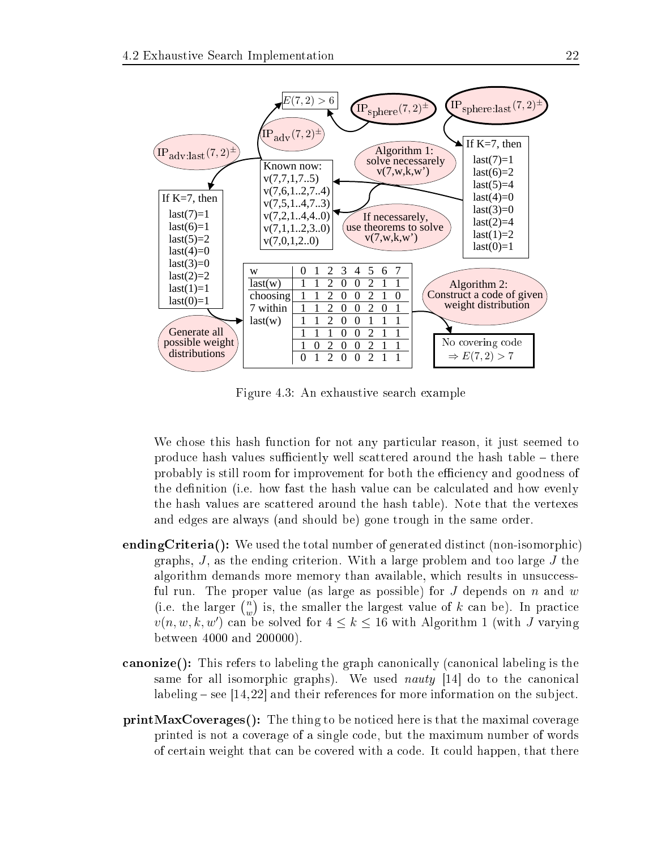

Figure 4.3: An exhaustive sear
h example

We chose this hash function for not any particular reason, it just seemed to produce hash values sufficiently well scattered around the hash table – there probably is still room for improvement for both the efficiency and goodness of the definition (i.e. how fast the hash value can be calculated and how evenly the hash values are s
attered around the hash table). Note that the vertexes and edges are always (and should be) gone trough in the same order.

- ending Criteria(): We used the total number of generated distinct (non-isomorphic) graphs,  $J$ , as the ending criterion. With a large problem and too large  $J$  the algorithm demands more memory than available, which results in unsuccessful run. The proper value (as large as possible) for J depends on n and w (i.e. the larger  $\binom{n}{k}$  $\binom{n}{w}$  is, the smaller the largest value of k can be). In practice  $v(n, w, k, w')$  can be solved for  $4 \leq k \leq 16$  with Algorithm 1 (with J varying between 4000 and 200000).
- **canonize**(): This refers to labeling the graph canonically (canonical labeling is the same for all isomorphic graphs). We used *nauty* [14] do to the canonical labeling – see  $|14, 22|$  and their references for more information on the subject.
- printMaxCoverages(): The thing to be noti
ed here is that the maximal overage printed is not a overage of a single ode, but the maximum number of words of ertain weight that an be overed with a ode. It ould happen, that there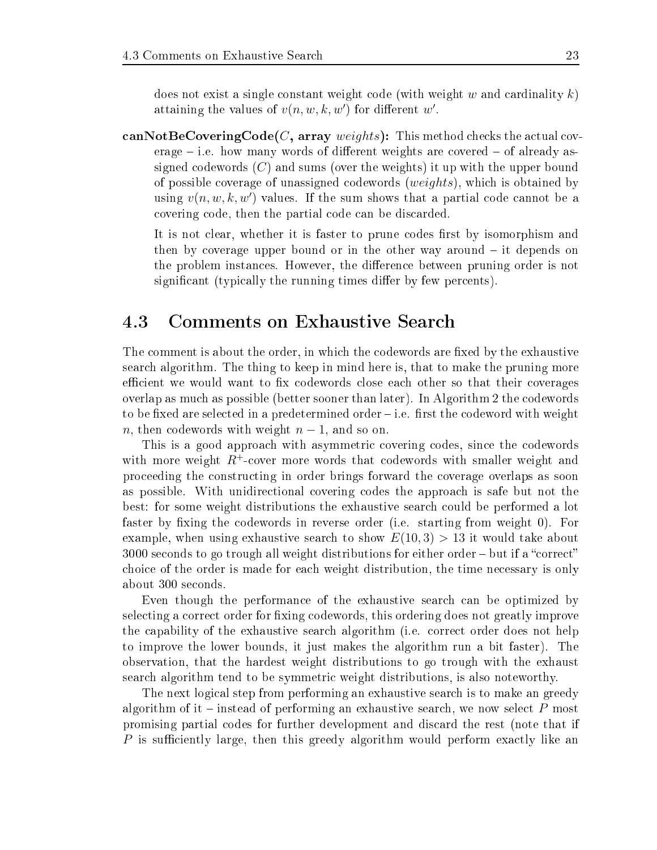does not exist a single constant weight code (with weight w and cardinality  $k$ ) attaining the values of  $v(n, w, k, w')$  for different w'.

canNotBeCoveringCode $(C,$  array weights): This method checks the actual cov $erage - i.e.$  how many words of different weights are covered  $-$  of already assigned codewords  $(C)$  and sums (over the weights) it up with the upper bound of possible overage of unassigned odewords (weights), whi
h is obtained by using  $v(n, w, k, w')$  values. If the sum shows that a partial code cannot be a overing ode, then the partial ode an be dis
arded.

It is not clear, whether it is faster to prune codes first by isomorphism and then by coverage upper bound or in the other way around  $-$  it depends on the problem instances. However, the difference between pruning order is not significant (typically the running times differ by few percents).

#### Comments on Exhaustive Search 4.3

The comment is about the order, in which the codewords are fixed by the exhaustive sear
h algorithm. The thing to keep in mind here is, that to make the pruning more efficient we would want to fix codewords close each other so that their coverages overlap as mu
h as possible (better sooner than later). In Algorithm 2 the odewords to be fixed are selected in a predetermined order  $-i.e.$  first the codeword with weight n, then codewords with weight  $n-1$ , and so on.

This is a good approach with asymmetric covering codes, since the codewords with more weight  $R^+$ -cover more words that codewords with smaller weight and pro
eeding the onstru
ting in order brings forward the overage overlaps as soon as possible. With unidire
tional overing odes the approa
h is safe but not the best: for some weight distributions the exhaustive search could be performed a lot faster by fixing the codewords in reverse order (i.e. starting from weight 0). For example, when using exhaustive search to show  $E(10,3) > 13$  it would take about  $3000$  seconds to go trough all weight distributions for either order – but if a "correct" choice of the order is made for each weight distribution, the time necessary is only about 300 se
onds.

Even though the performan
e of the exhaustive sear
h an be optimized by selecting a correct order for fixing codewords, this ordering does not greatly improve the apability of the exhaustive sear
h algorithm (i.e. orre
t order does not help to improve the lower bounds, it just makes the algorithm run a bit faster). The observation, that the hardest weight distributions to go trough with the exhaust search algorithm tend to be symmetric weight distributions, is also noteworthy.

The next logical step from performing an exhaustive search is to make an greedy algorithm of it – instead of performing an exhaustive search, we now select  $P$  most promising partial odes for further development and dis
ard the rest (note that if P is sufficiently large, then this greedy algorithm would perform exactly like an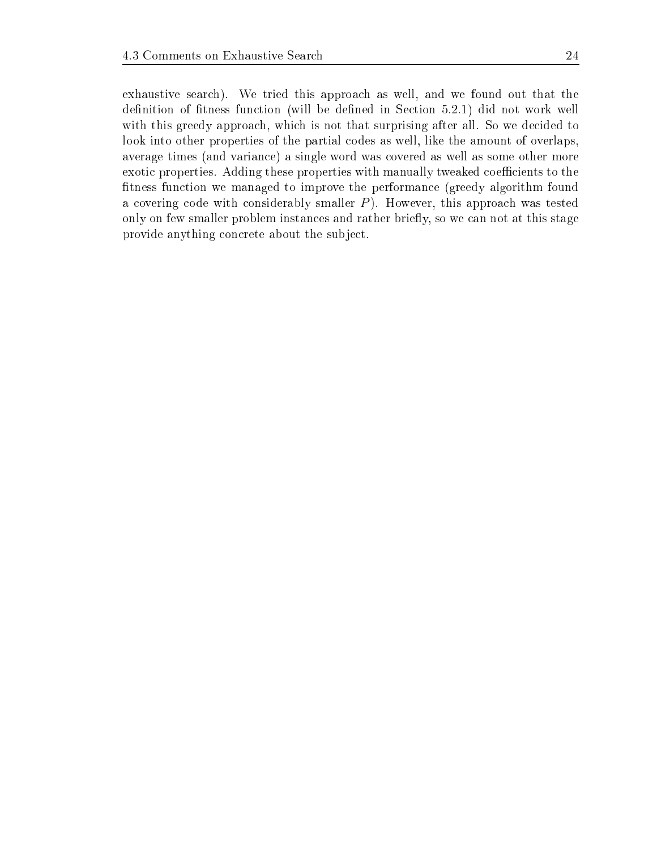exhaustive search). We tried this approach as well, and we found out that the definition of fitness function (will be defined in Section 5.2.1) did not work well with this greedy approach, which is not that surprising after all. So we decided to look into other properties of the partial codes as well, like the amount of overlaps, average times (and varian
e) a single word was overed as well as some other more exotic properties. Adding these properties with manually tweaked coefficients to the fitness function we managed to improve the performance (greedy algorithm found a covering code with considerably smaller  $P$ ). However, this approach was tested only on few smaller problem instances and rather briefly, so we can not at this stage provide anything on
rete about the subje
t.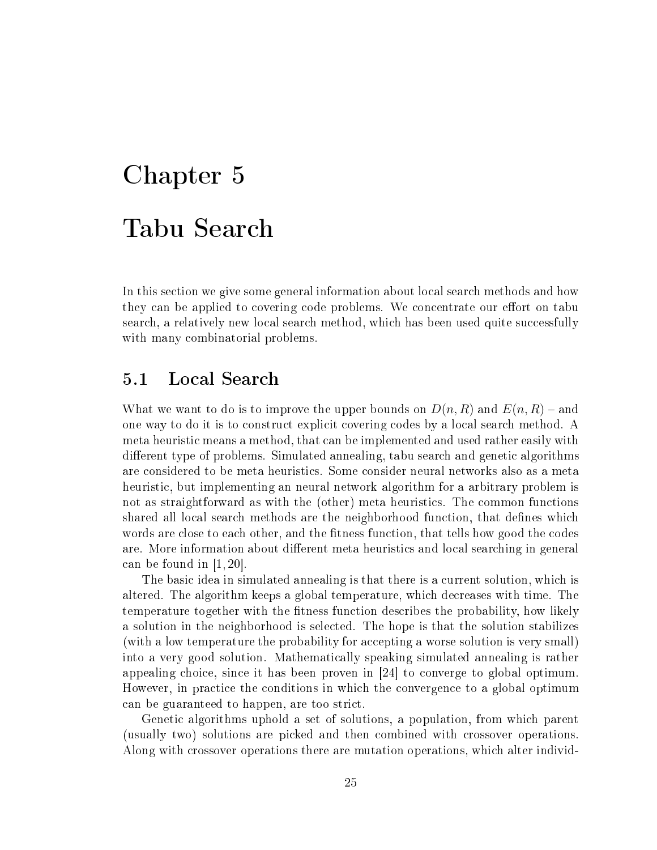# Chapter 5 Tabu Sear
h

In this section we give some general information about local search methods and how they can be applied to covering code problems. We concentrate our effort on tabu search, a relatively new local search method, which has been used quite successfully with many combinatorial problems.

#### Local Search  $5.1$

What we want to do is to improve the upper bounds on  $D(n, R)$  and  $E(n, R)$  - and one way to do it is to construct explicit covering codes by a local search method. A meta heuristi means a method, that an be implemented and used rather easily with different type of problems. Simulated annealing, tabu search and genetic algorithms are onsidered to be meta heuristi
s. Some onsider neural networks also as a meta heuristic, but implementing an neural network algorithm for a arbitrary problem is not as straightforward as with the (other) meta heuristics. The common functions shared all local search methods are the neighborhood function, that defines which words are close to each other, and the fitness function, that tells how good the codes are. More information about different meta heuristics and local searching in general can be found in  $[1, 20]$ .

The basic idea in simulated annealing is that there is a current solution, which is altered. The algorithm keeps a global temperature, whi
h de
reases with time. The temperature together with the fitness function describes the probability, how likely a solution in the neighborhood is sele
ted. The hope is that the solution stabilizes (with a low temperature the probability for accepting a worse solution is very small) into a very good solution. Mathemati
ally speaking simulated annealing is rather appealing choice, since it has been proven in  $[24]$  to converge to global optimum. However, in practice the conditions in which the convergence to a global optimum an be guaranteed to happen, are too stri
t.

Geneti algorithms uphold a set of solutions, a population, from whi
h parent (usually two) solutions are pi
ked and then ombined with rossover operations. Along with crossover operations there are mutation operations, which alter individ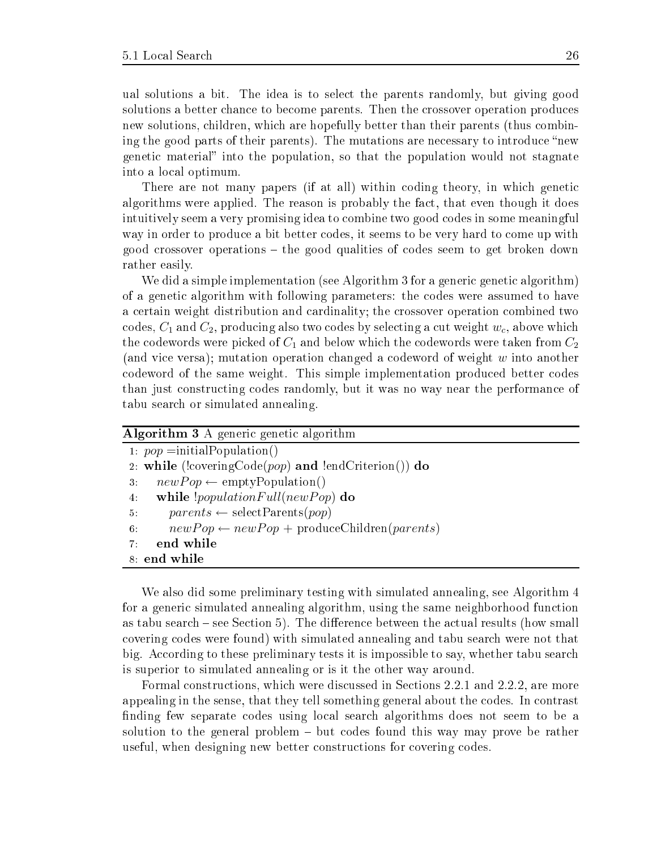ual solutions a bit. The idea is to sele
t the parents randomly, but giving good solutions a better chance to become parents. Then the crossover operation produces new solutions, children, which are hopefully better than their parents (thus combining the good parts of their parents). The mutations are necessary to introduce "new genetic material" into the population, so that the population would not stagnate into a lo
al optimum.

There are not many papers (if at all) within coding theory, in which genetic algorithms were applied. The reason is probably the fa
t, that even though it does intuitively seem a very promising idea to combine two good codes in some meaningful way in order to produce a bit better codes, it seems to be very hard to come up with good rossover operations the good qualities of odes seem to get broken down rather easily.

We did a simple implementation (see Algorithm 3 for a generic genetic algorithm) of a geneti algorithm with following parameters: the odes were assumed to have a certain weight distribution and cardinality; the crossover operation combined two codes,  $C_1$  and  $C_2$ , producing also two codes by selecting a cut weight  $w_c$ , above which the codewords were picked of  $C_1$  and below which the codewords were taken from  $C_2$ (and vice versa); mutation operation changed a codeword of weight w into another odeword of the same weight. This simple implementation produ
ed better odes than just onstru
ting odes randomly, but it was no way near the performan
e of tabu sear
h or simulated annealing.

| <b>Algorithm 3</b> A generic genetic algorithm                          |
|-------------------------------------------------------------------------|
| 1. $pop = initialPopulation()$                                          |
| 2. while (!covering $\text{Code}(pop)$ and !end $\text{Criterion}()$ do |
| $newPop \leftarrow \text{emptyPopulation}()$<br>$3 -$                   |
| while $!populationFull(newPop)$ do<br>4:                                |
| $parents \leftarrow \text{selectParents}(pop)$<br>5.                    |
| $newPop \leftarrow newPop + produceChildren(parents)$<br>6.             |
| end while<br>7:                                                         |
| 8 end while                                                             |

We also did some preliminary testing with simulated annealing, see Algorithm 4 for a generic simulated annealing algorithm, using the same neighborhood function as tabu search – see Section 5). The difference between the actual results (how small overing odes were found) with simulated annealing and tabu sear
h were not that big. According to these preliminary tests it is impossible to say, whether tabu search is superior to simulated annealing or is it the other way around.

Formal constructions, which were discussed in Sections 2.2.1 and 2.2.2, are more appealing in the sense, that they tell something general about the odes. In ontrast finding few separate codes using local search algorithms does not seem to be a solution to the general problem  $-$  but codes found this way may prove be rather useful, when designing new better onstru
tions for overing odes.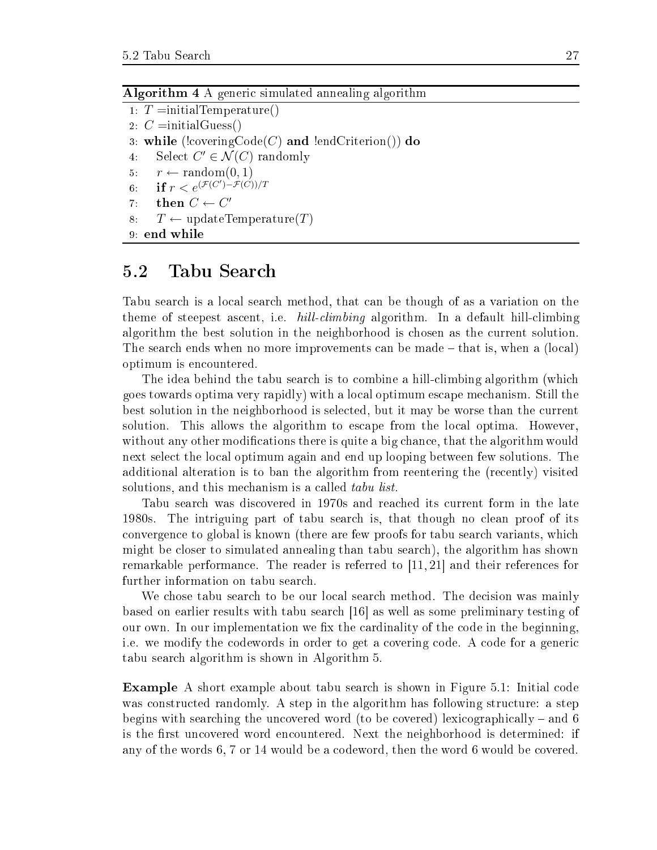| <b>Algorithm 4</b> A generic simulated annealing algorithm |  |  |  |  |  |  |  |  |
|------------------------------------------------------------|--|--|--|--|--|--|--|--|
|------------------------------------------------------------|--|--|--|--|--|--|--|--|

1:  $T = initialTemperature()$ 2:  $C = initialGuess()$ 3: while (!covering $\text{Code}(C)$  and !endCriterion()) do 4: Select  $C' \in \mathcal{N}(C)$  randomly 5:  $r \leftarrow \text{random}(0, 1)$ 6: **if**  $r < e^{(\mathcal{F}(C') - \mathcal{F}(C'))/T}$ 7: then  $C \leftarrow C'$ 8:  $T \leftarrow \text{updateTemperature}(T)$ 9: end while

### 5.2 Tabu Sear
h

Tabu sear
h is a lo
al sear
h method, that an be though of as a variation on the theme of steepest ascent, i.e.  $hill \text{climbing algorithm}$ . In a default hill-climbing algorithm the best solution in the neighborhood is hosen as the urrent solution. The search ends when no more improvements can be made – that is, when a (local) optimum is en
ountered.

The idea behind the tabu search is to combine a hill-climbing algorithm (which goes towards optima very rapidly) with a lo
al optimum es
ape me
hanism. Still the best solution in the neighborhood is selected, but it may be worse than the current solution. This allows the algorithm to escape from the local optima. However, without any other modifications there is quite a big chance, that the algorithm would next sele
t the lo
al optimum again and end up looping between few solutions. The additional alteration is to ban the algorithm from reentering the (re
ently) visited solutions, and this mechanism is a called *tabu list*.

Tabu sear
h was dis
overed in 1970s and rea
hed its urrent form in the late 1980s. The intriguing part of tabu sear
h is, that though no lean proof of its convergence to global is known (there are few proofs for tabu search variants, which might be loser to simulated annealing than tabu sear
h), the algorithm has shown remarkable performance. The reader is referred to  $[11, 21]$  and their references for further information on tabu sear
h.

We chose tabu search to be our local search method. The decision was mainly based on earlier results with tabu search  $|16|$  as well as some preliminary testing of our own. In our implementation we fix the cardinality of the code in the beginning, i.e. we modify the codewords in order to get a covering code. A code for a generic tabu sear
h algorithm is shown in Algorithm 5.

**Example** A short example about tabu search is shown in Figure 5.1: Initial code was constructed randomly. A step in the algorithm has following structure: a step begins with searching the uncovered word (to be covered) lexicographically – and 6 is the first uncovered word encountered. Next the neighborhood is determined: if any of the words 6, 7 or 14 would be a odeword, then the word 6 would be overed.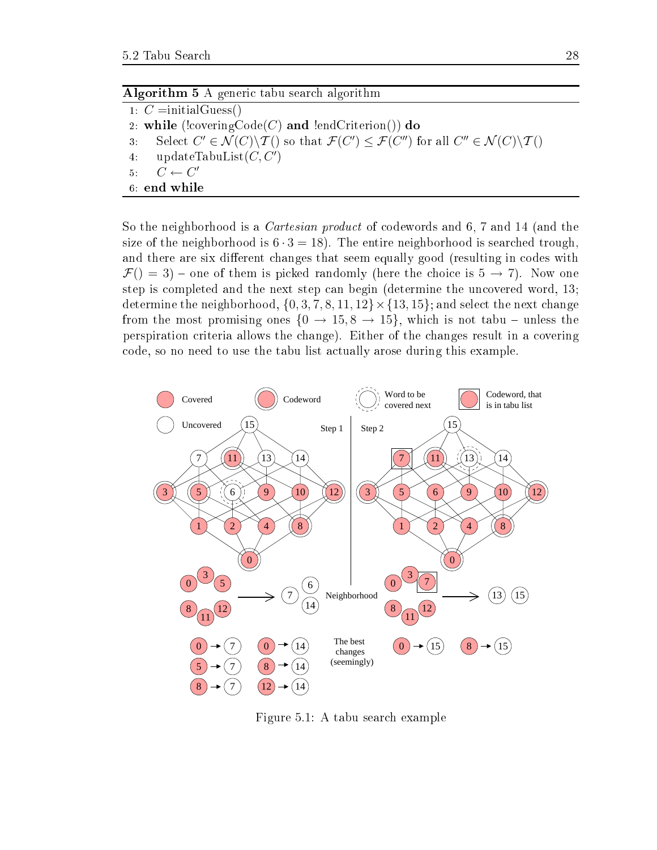| <b>Algorithm 5</b> A generic tabu search algorithm |  |
|----------------------------------------------------|--|
|----------------------------------------------------|--|

1:  $C =$ initialGuess() 2: while (!covering $\text{Code}(C)$  and !endCriterion()) do 3: Select  $C' \in \mathcal{N}(C) \backslash \mathcal{T}()$  so that  $\mathcal{F}(C') \leq \mathcal{F}(C'')$  for all  $C'' \in \mathcal{N}(C) \backslash \mathcal{T}(O)$ 4: updateTabuList $(C, C')$ 5:  $C \leftarrow C'$ 6: end while

So the neighborhood is a *Cartesian product* of codewords and 6, 7 and 14 (and the size of the neighborhood is  $6 \cdot 3 = 18$ ). The entire neighborhood is searched trough. and there are six different changes that seem equally good (resulting in codes with  $\mathcal{F}() = 3$  – one of them is picked randomly (here the choice is  $5 \rightarrow 7$ ). Now one step is completed and the next step can begin (determine the uncovered word, 13; determine the neighborhood,  $\{0, 3, 7, 8, 11, 12\} \times \{13, 15\}$ ; and select the next change from the most promising ones  $\{0 \to 15, 8 \to 15\}$ , which is not tabu – unless the perspiration criteria allows the change). Either of the changes result in a covering ode, so no need to use the tabu list a
tually arose during this example.



Figure 5.1: A tabu sear
h example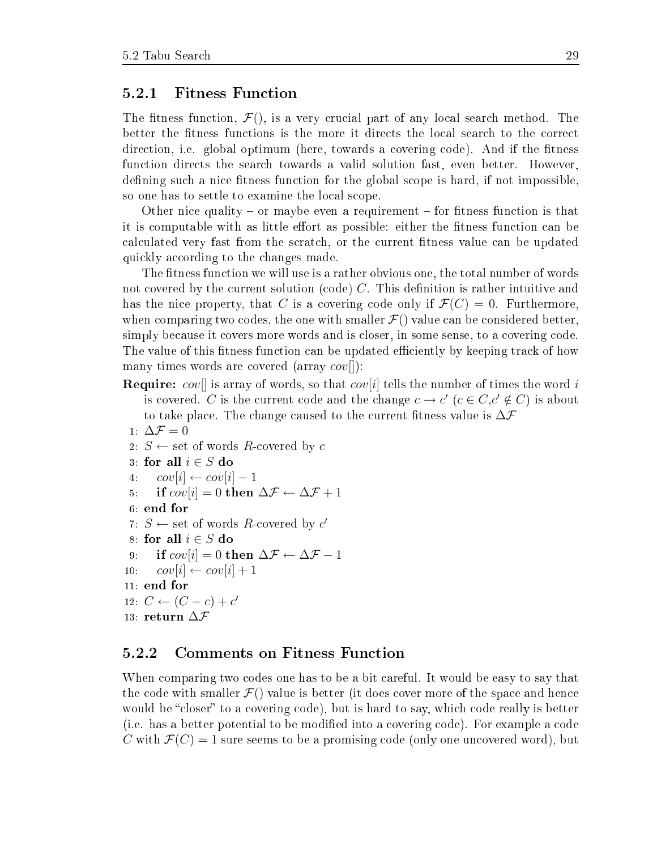### 5.2.1 Fitness Fun
tion

The fitness function,  $\mathcal{F}()$ , is a very crucial part of any local search method. The better the fitness functions is the more it directs the local search to the correct direction, i.e. global optimum (here, towards a covering code). And if the fitness function directs the search towards a valid solution fast, even better. However, defining such a nice fitness function for the global scope is hard, if not impossible, so one has to settle to examine the local scope.

Other nice quality – or maybe even a requirement – for fitness function is that it is computable with as little effort as possible: either the fitness function can be calculated very fast from the scratch, or the current fitness value can be updated quickly according to the changes made.

The fitness function we will use is a rather obvious one, the total number of words not covered by the current solution (code)  $C$ . This definition is rather intuitive and has the nice property, that C is a covering code only if  $\mathcal{F}(C) = 0$ . Furthermore, when comparing two codes, the one with smaller  $\mathcal{F}()$  value can be considered better, simply because it covers more words and is closer, in some sense, to a covering code. The value of this fitness function can be updated efficiently by keeping track of how many times words are covered (array  $cov[]$ ):

- **Require:** cover is array of words, so that cover it delight the number of times the word i is covered. C is the current code and the change  $c \to c'$   $(c \in C, c' \notin C)$  is about to take place. The change caused to the current fitness value is  $\Delta \mathcal{F}$
- 1:  $\Delta \mathcal{F} = 0$ 2:  $S \leftarrow$  set of words R-covered by c 3: for all  $i \in S$  do 4:  $cov[i] \leftarrow cov[i] - 1$ 5: if  $cov[i] = 0$  then  $\Delta \mathcal{F} \leftarrow \Delta \mathcal{F} + 1$ 6: end for 7:  $S \leftarrow$  set of words R-covered by  $c'$ 8: for all  $i \in S$  do 9: if  $cov[i] = 0$  then  $\Delta \mathcal{F} \leftarrow \Delta \mathcal{F} - 1$ 10:  $cov[i] \leftarrow cov[i] + 1$ 11: end for 12:  $C \leftarrow (C - c) + c'$ 13: return ∆F

### 5.2.2 Comments on Fitness Fun
tion

When comparing two codes one has to be a bit careful. It would be easy to say that the code with smaller  $\mathcal{F}()$  value is better (it does cover more of the space and hence would be "closer" to a covering code), but is hard to say, which code really is better (i.e. has a better potential to be modied into a overing ode). For example a ode C with  $\mathcal{F}(C) = 1$  sure seems to be a promising code (only one uncovered word), but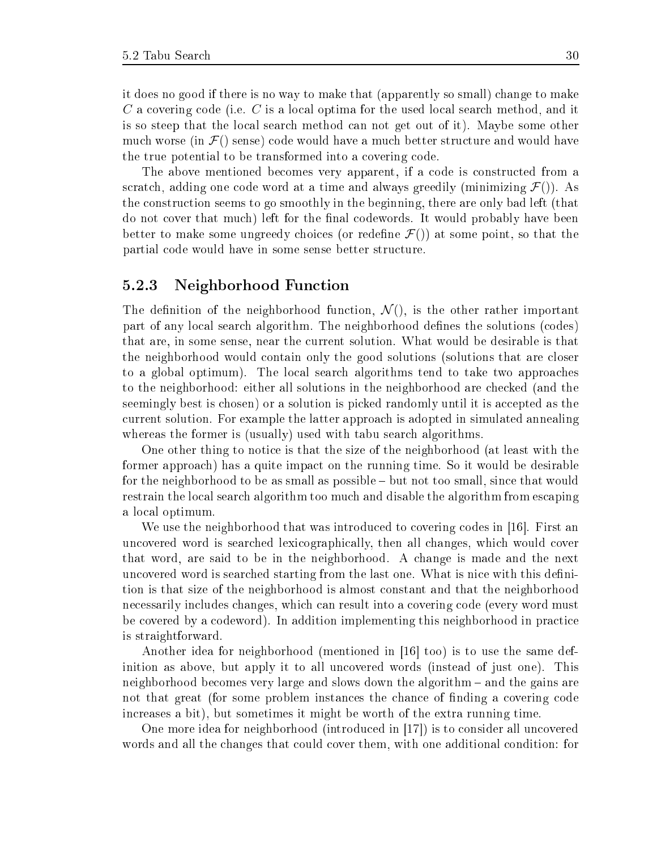it does no good if there is no way to make that (apparently so small) hange to make C a covering code (i.e. C is a local optima for the used local search method, and it is so steep that the lo
al sear
h method an not get out of it). Maybe some other much worse (in  $\mathcal{F}$ ) sense) code would have a much better structure and would have the true potential to be transformed into a covering code.

The above mentioned be
omes very apparent, if a ode is onstru
ted from a scratch, adding one code word at a time and always greedily (minimizing  $\mathcal{F}()$ ). As the onstru
tion seems to go smoothly in the beginning, there are only bad left (that do not cover that much) left for the final codewords. It would probably have been better to make some ungreedy choices (or redefine  $\mathcal{F}()$ ) at some point, so that the partial ode would have in some sense better stru
ture.

### 5.2.3 Neighborhood Fun
tion

The definition of the neighborhood function,  $\mathcal{N}(t)$ , is the other rather important part of any local search algorithm. The neighborhood defines the solutions (codes) that are, in some sense, near the urrent solution. What would be desirable is that the neighborhood would ontain only the good solutions (solutions that are loser to a global optimum). The lo
al sear
h algorithms tend to take two approa
hes to the neighborhood: either all solutions in the neighborhood are checked (and the seemingly best is chosen) or a solution is picked randomly until it is accepted as the urrent solution. For example the latter approa
h is adopted in simulated annealing whereas the former is (usually) used with tabu search algorithms.

One other thing to notice is that the size of the neighborhood (at least with the former approa
h) has a quite impa
t on the running time. So it would be desirable for the neighborhood to be as small as possible – but not too small, since that would restrain the lo
al sear
h algorithm too mu
h and disable the algorithm from es
aping a lo
al optimum.

We use the neighborhood that was introduced to covering codes in  $[16]$ . First an uncovered word is searched lexicographically, then all changes, which would cover that word, are said to be in the neighborhood. A hange is made and the next uncovered word is searched starting from the last one. What is nice with this definition is that size of the neighborhood is almost onstant and that the neighborhood ne
essarily in
ludes hanges, whi
h an result into a overing ode (every word must be covered by a codeword). In addition implementing this neighborhood in practice is straightforward.

Another idea for neighborhood (mentioned in  $[16]$  too) is to use the same definition as above, but apply it to all uncovered words (instead of just one). This neighborhood be
omes very large and slows down the algorithm and the gains are not that great (for some problem instances the chance of finding a covering code in
reases a bit), but sometimes it might be worth of the extra running time.

One more idea for neighborhood (introduced in  $|17|$ ) is to consider all uncovered words and all the changes that could cover them, with one additional condition: for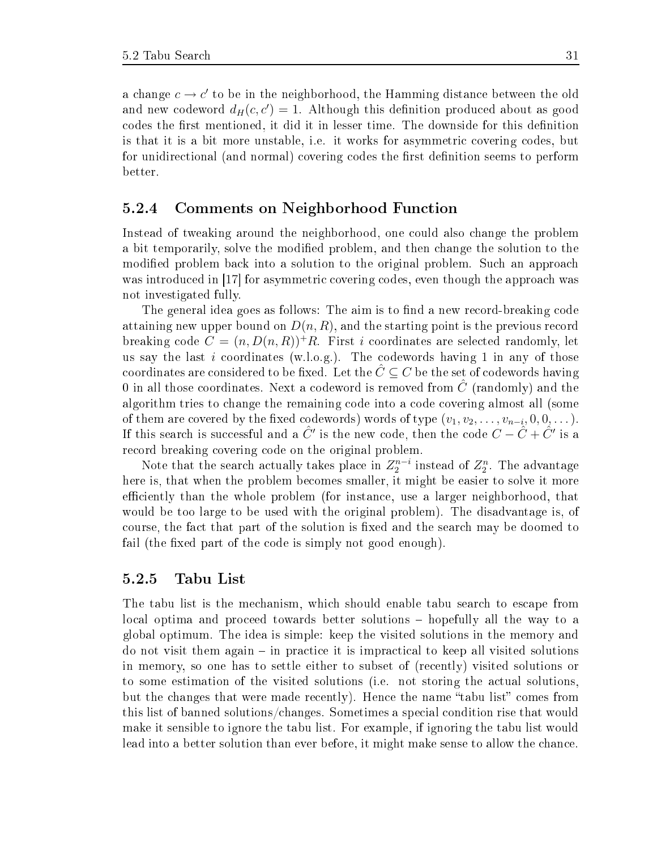a change  $c \to c'$  to be in the neighborhood, the Hamming distance between the old and new codeword  $d_H(c, c') = 1$ . Although this definition produced about as good codes the first mentioned, it did it in lesser time. The downside for this definition is that it is a bit more unstable, i.e. it works for asymmetric covering codes, but for unidirectional (and normal) covering codes the first definition seems to perform better.

### 5.2.4 Comments on Neighborhood Fun
tion

Instead of tweaking around the neighborhood, one ould also hange the problem a bit temporarily, solve the modified problem, and then change the solution to the modified problem back into a solution to the original problem. Such an approach was introduced in  $\left[17\right]$  for asymmetric covering codes, even though the approach was not investigated fully.

The general idea goes as follows: The aim is to find a new record-breaking code attaining new upper bound on  $D(n, R)$ , and the starting point is the previous record breaking code  $C = (n, D(n, R))^+ R$ . First i coordinates are selected randomly, let us say the last i coordinates (w.l.o.g.). The codewords having 1 in any of those coordinates are considered to be fixed. Let the  $\tilde{C} \subseteq C$  be the set of codewords having 0 in all those coordinates. Next a codeword is removed from  $\tilde{C}$  (randomly) and the algorithm tries to change the remaining code into a code covering almost all (some of them are covered by the fixed codewords) words of type  $(v_1, v_2, \ldots, v_{n-i}, 0, 0, \ldots)$ . If this search is successful and a  $\hat{C}'$  is the new code, then the code  $C-\hat{C}+\hat{C}'$  is a record breaking covering code on the original problem.

Note that the search actually takes place in  $Z_{2}^{n-i}$  instead of  $Z_{2}^{n}$ . The advantage here is, that when the problem be
omes smaller, it might be easier to solve it more efficiently than the whole problem (for instance, use a larger neighborhood, that would be too large to be used with the original problem). The disadvantage is, of course, the fact that part of the solution is fixed and the search may be doomed to fail (the fixed part of the code is simply not good enough).

#### 5.2.5 Tabu List

The tabu list is the mechanism, which should enable tabu search to escape from local optima and proceed towards better solutions – hopefully all the way to a global optimum. The idea is simple: keep the visited solutions in the memory and  $\alpha$  do not visit them again – in practice it is impractical to keep all visited solutions in memory, so one has to settle either to subset of (re
ently) visited solutions or to some estimation of the visited solutions (i.e. not storing the actual solutions, but the changes that were made recently). Hence the name "tabu list" comes from this list of banned solutions/changes. Sometimes a special condition rise that would make it sensible to ignore the tabu list. For example, if ignoring the tabu list would lead into a better solution than ever before, it might make sense to allow the chance.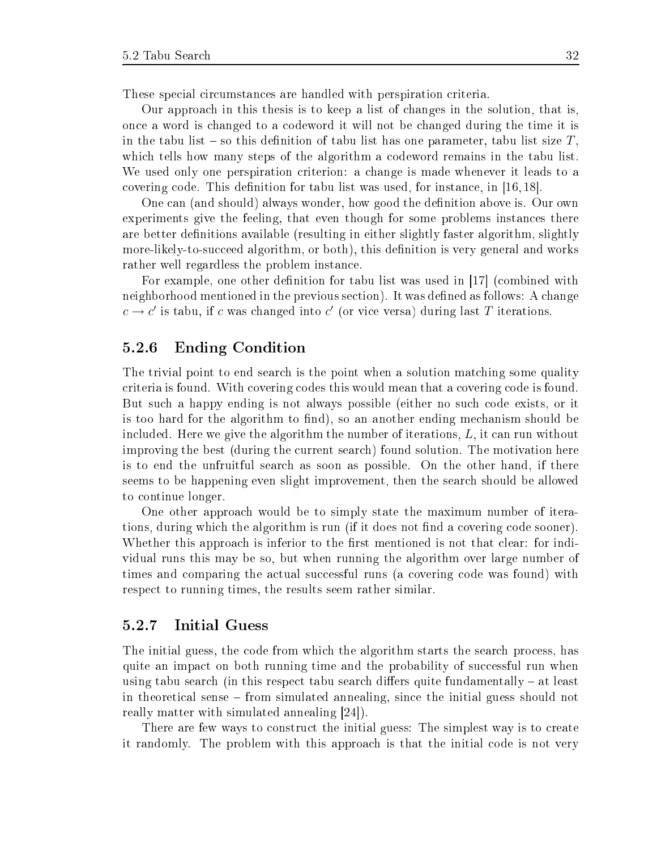These special circumstances are handled with perspiration criteria.

Our approa
h in this thesis is to keep a list of hanges in the solution, that is, on
e a word is hanged to a odeword it will not be hanged during the time it is in the tabu list  $\sim$  so this definition of tabu list has one parameter, tabu list size T. which tells how many steps of the algorithm a codeword remains in the tabu list. We used only one perspiration criterion: a change is made whenever it leads to a covering code. This definition for tabu list was used, for instance, in  $[16, 18]$ .

One can (and should) always wonder, how good the definition above is. Our own experiments give the feeling, that even though for some problems instan
es there are better definitions available (resulting in either slightly faster algorithm, slightly more-likely-to-succeed algorithm, or both), this definition is very general and works rather well regardless the problem instan
e.

For example, one other definition for tabu list was used in  $|17|$  (combined with neighborhood mentioned in the previous section). It was defined as follows: A change  $c \rightarrow c'$  is tabu, if c was changed into c' (or vice versa) during last T iterations.

### 5.2.6 Ending Condition

The trivial point to end search is the point when a solution matching some quality riteria is found. With overing odes this would mean that a overing ode is found. But su
h a happy ending is not always possible (either no su
h ode exists, or it is too hard for the algorithm to find), so an another ending mechanism should be in
luded. Here we give the algorithm the number of iterations, L, it an run without improving the best (during the current search) found solution. The motivation here is to end the unfruitful sear
h as soon as possible. On the other hand, if there seems to be happening even slight improvement, then the sear
h should be allowed to ontinue longer.

One other approa
h would be to simply state the maximum number of iterations, during which the algorithm is run (if it does not find a covering code sooner). Whether this approach is inferior to the first mentioned is not that clear: for individual runs this may be so, but when running the algorithm over large number of times and comparing the actual successful runs (a covering code was found) with respe
t to running times, the results seem rather similar.

### 5.2.7 Initial Guess

The initial guess, the code from which the algorithm starts the search process, has quite an impact on both running time and the probability of successful run when using tabu search (in this respect tabu search differs quite fundamentally  $-$  at least in theoreti
al sense from simulated annealing, sin
e the initial guess should not really matter with simulated annealing  $[24]$ .

There are few ways to construct the initial guess: The simplest way is to create it randomly. The problem with this approa
h is that the initial ode is not very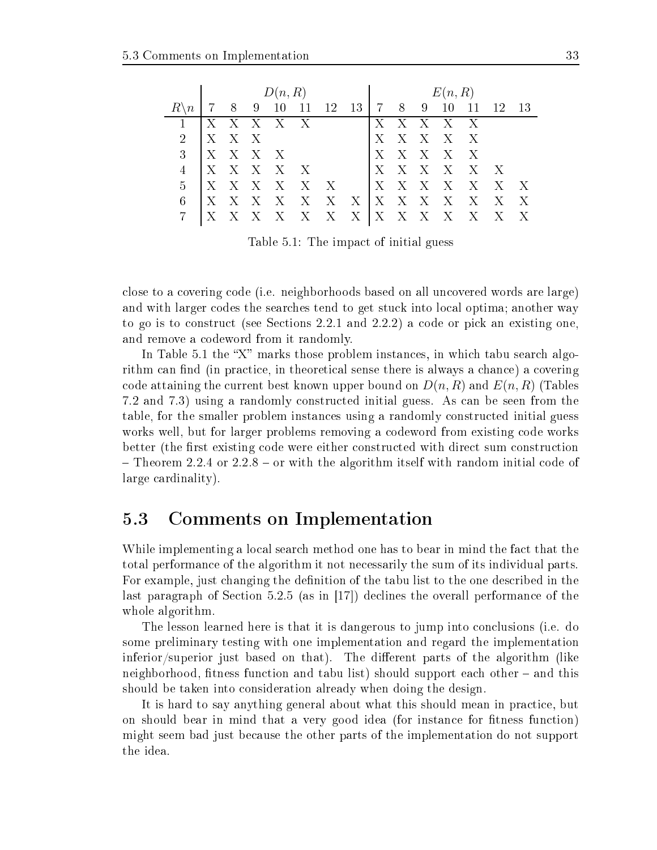|   | D(n,R)                  |                |              |         |                       |                           | E(n, R)                               |   |              |   |         |                                |              |                           |
|---|-------------------------|----------------|--------------|---------|-----------------------|---------------------------|---------------------------------------|---|--------------|---|---------|--------------------------------|--------------|---------------------------|
|   |                         | 8 <sup>8</sup> | -9           | -10     | -11                   |                           | $12 \quad 13 \quad 7 \quad 8 \quad 9$ |   |              |   | -10     |                                | 12           | 13                        |
|   | $\mathsf{I} \mathbf{X}$ |                |              | X X X X |                       |                           |                                       | Х |              |   | X X X X |                                |              |                           |
| 2 | $\mathbf{X}$            |                | X X          |         |                       |                           |                                       | Х |              |   | X X X X |                                |              |                           |
| 3 | $\mathbf{X}$            |                | $X \times X$ |         |                       |                           |                                       | X |              |   | XXXX    |                                |              |                           |
|   | $\mathbf{X}$            |                |              |         | $X \times X \times X$ |                           |                                       | X |              |   |         | $X \times X \times X \times X$ |              |                           |
| 5 | $\mathbf{X}$            | X              | $X - X$      |         | X                     | $\boldsymbol{\mathrm{X}}$ |                                       | X | X            | X | $X - X$ |                                | $X - X$      |                           |
| 6 | ΓX                      | X              | X            | X       |                       | X X                       | $X_{-}$                               |   | $X - X - X$  |   | X       | X                              | $\mathbf{X}$ | X                         |
|   |                         |                |              | X.      | $X$ $X$ $X$           |                           |                                       |   | $X \times X$ |   | X       | Х                              | Х            | $\boldsymbol{\mathrm{X}}$ |

Table 5.1: The impa
t of initial guess

lose to a overing ode (i.e. neighborhoods based on all un
overed words are large) and with larger codes the searches tend to get stuck into local optima; another way to go is to construct (see Sections 2.2.1 and 2.2.2) a code or pick an existing one, and remove a odeword from it randomly.

In Table 5.1 the "X" marks those problem instances, in which tabu search algorithm can find (in practice, in theoretical sense there is always a chance) a covering code attaining the current best known upper bound on  $D(n, R)$  and  $E(n, R)$  (Tables 7.2 and 7.3) using a randomly onstru
ted initial guess. As an be seen from the table, for the smaller problem instan
es using a randomly onstru
ted initial guess works well, but for larger problems removing a codeword from existing code works better (the first existing code were either constructed with direct sum construction  $-$  Theorem 2.2.4 or 2.2.8  $-$  or with the algorithm itself with random initial code of large ardinality).

#### $5.3$ 5.3 Comments on Implementation

While implementing a local search method one has to bear in mind the fact that the total performan
e of the algorithm it not ne
essarily the sum of its individual parts. For example, just changing the definition of the tabu list to the one described in the last paragraph of Section  $5.2.5$  (as in [17]) declines the overall performance of the whole algorithm.

The lesson learned here is that it is dangerous to jump into conclusions (i.e. do some preliminary testing with one implementation and regard the implementation inferior/superior just based on that). The different parts of the algorithm (like neighborhood, fitness function and tabu list) should support each other – and this should be taken into consideration already when doing the design.

It is hard to say anything general about what this should mean in practice, but on should bear in mind that a very good idea (for instance for fitness function) might seem bad just be
ause the other parts of the implementation do not support the idea.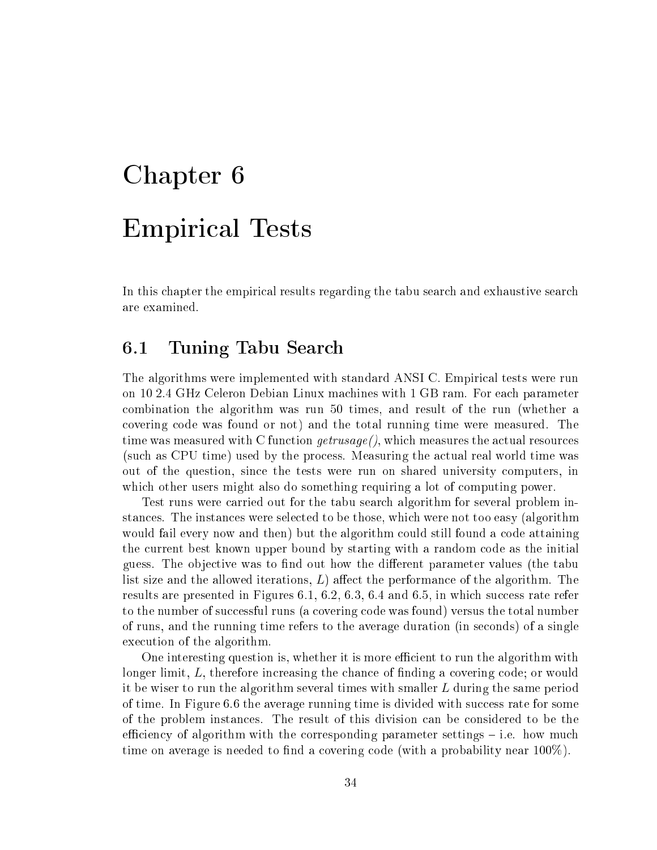# Chapter 6 Empiri
al Tests

In this chapter the empirical results regarding the tabu search and exhaustive search are examined.

### 6.1 Tuning Tabu Sear
h

The algorithms were implemented with standard ANSI C. Empiri
al tests were run on 10 2.4 GHz Celeron Debian Linux ma
hines with 1 GB ram. For ea
h parameter ombination the algorithm was run 50 times, and result of the run (whether a overing ode was found or not) and the total running time were measured. The time was measured with C function  $getrusage(),$  which measures the actual resources (su
h as CPU time) used by the pro
ess. Measuring the a
tual real world time was out of the question, sin
e the tests were run on shared university omputers, in which other users might also do something requiring a lot of computing power.

Test runs were arried out for the tabu sear
h algorithm for several problem instan
es. The instan
es were sele
ted to be those, whi
h were not too easy (algorithm would fail every now and then) but the algorithm could still found a code attaining the urrent best known upper bound by starting with a random ode as the initial guess. The objective was to find out how the different parameter values (the tabu list size and the allowed iterations,  $L$ ) affect the performance of the algorithm. The results are presented in Figures  $6.1, 6.2, 6.3, 6.4$  and  $6.5$ , in which success rate refer to the number of successful runs (a covering code was found) versus the total number of runs, and the running time refers to the average duration (in seconds) of a single execution of the algorithm.

One interesting question is, whether it is more efficient to run the algorithm with longer limit,  $L$ , therefore increasing the chance of finding a covering code; or would it be wiser to run the algorithm several times with smaller L during the same period of time. In Figure 6.6 the average running time is divided with success rate for some of the problem instan
es. The result of this division an be onsidered to be the efficiency of algorithm with the corresponding parameter settings  $-$  i.e. how much time on average is needed to find a covering code (with a probability near  $100\%$ ).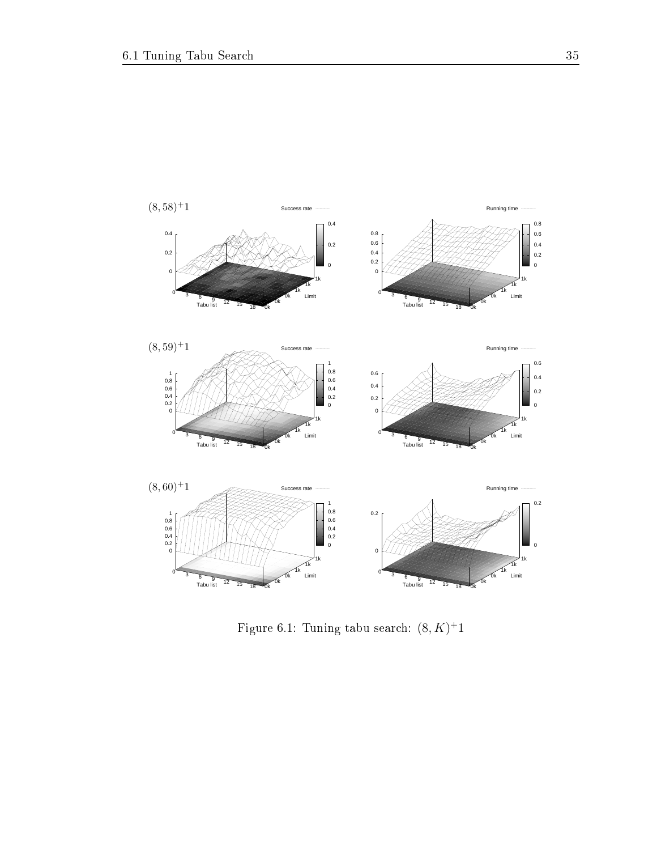

Figure 6.1: Tuning tabu search:  $(8, K)^+1$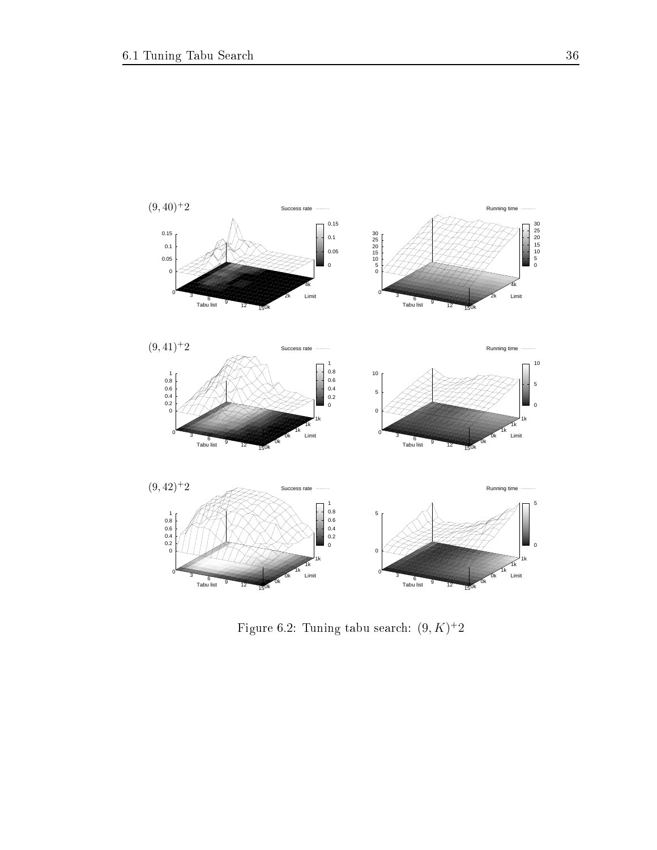

Figure 6.2: Tuning tabu search:  $(9, K)^+2$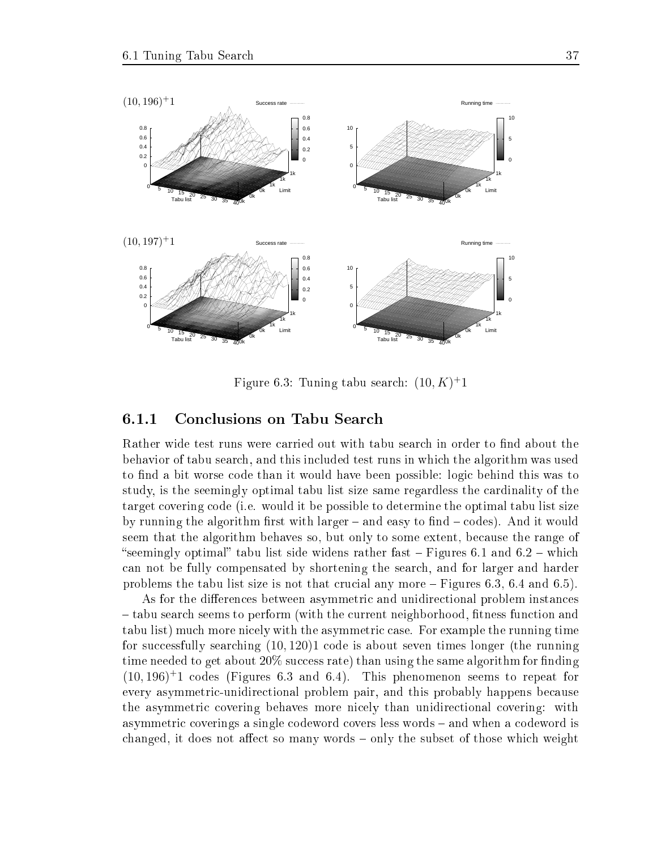

Figure 6.3: Tuning tabu search:  $(10, K)^+1$ 

#### 6.1.1 Conclusions on Tabu Search

Rather wide test runs were carried out with tabu search in order to find about the behavior of tabu sear
h, and this in
luded test runs in whi
h the algorithm was used to find a bit worse code than it would have been possible: logic behind this was to study, is the seemingly optimal tabu list size same regardless the ardinality of the target overing ode (i.e. would it be possible to determine the optimal tabu list size by running the algorithm first with larger  $-$  and easy to find  $-$  codes). And it would seem that the algorithm behaves so, but only to some extent, because the range of "seemingly optimal" tabu list side widens rather fast  $-$  Figures 6.1 and 6.2  $-$  which an not be fully ompensated by shortening the sear
h, and for larger and harder problems the tabu list size is not that crucial any more  $-$  Figures 6.3, 6.4 and 6.5).

As for the differences between asymmetric and unidirectional problem instances - tabu search seems to perform (with the current neighborhood, fitness function and tabu list) mu
h more ni
ely with the asymmetri ase. For example the running time for successfully searching  $(10, 120)1$  code is about seven times longer (the running time needed to get about  $20\%$  success rate) than using the same algorithm for finding  $(10, 196)^+$ 1 codes (Figures 6.3 and 6.4). This phenomenon seems to repeat for every asymmetric-unidirectional problem pair, and this probably happens because the asymmetric covering behaves more nicely than unidirectional covering: with asymmetric coverings a single codeword covers less words – and when a codeword is changed, it does not affect so many words – only the subset of those which weight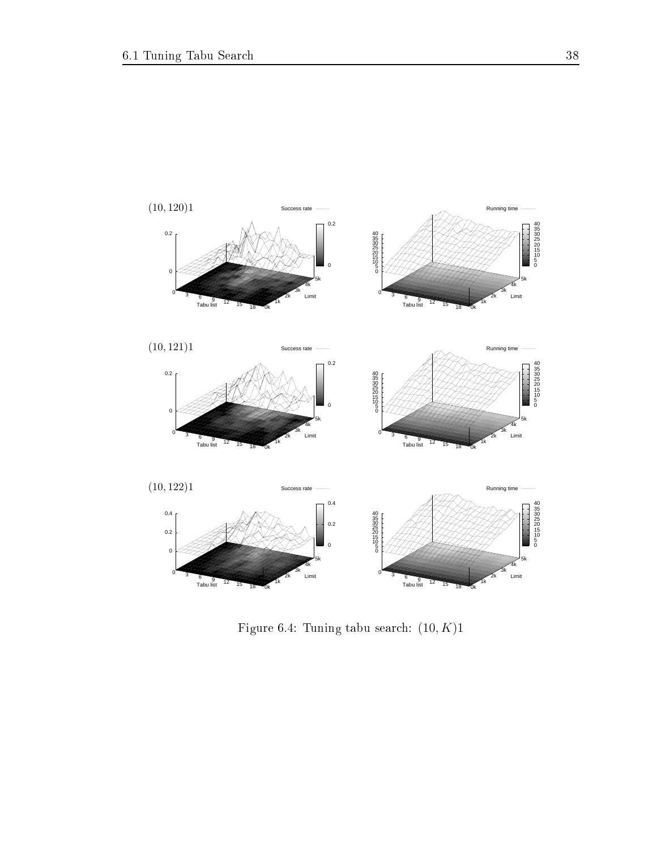

Figure 6.4: Tuning tabu search:  $(10, K)1$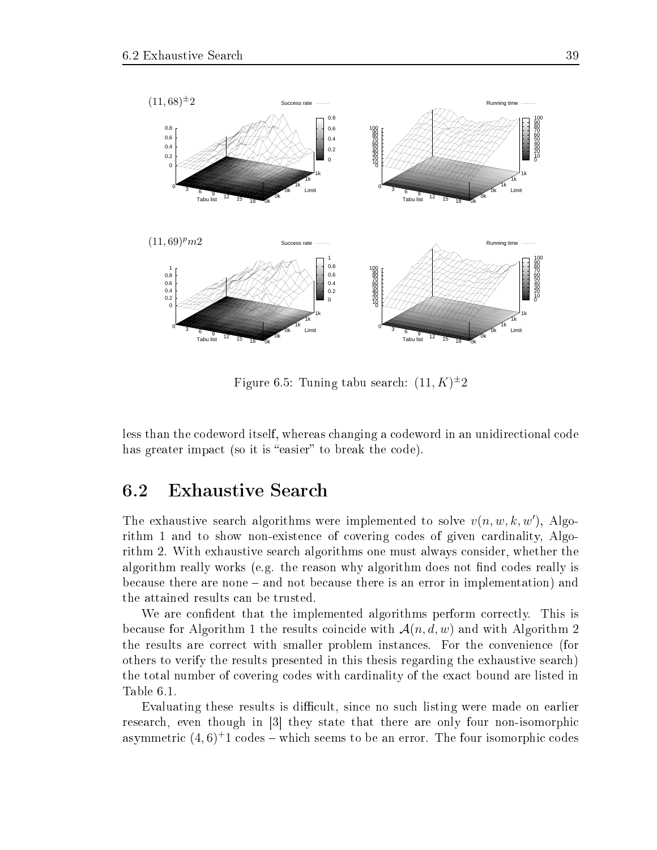

Figure 6.5: Tuning tabu search:  $(11, K)^{\pm}2$ 

less than the odeword itself, whereas hanging a odeword in an unidire
tional ode has greater impact (so it is "easier" to break the code).

The exhaustive search algorithms were implemented to solve  $v(n, w, k, w')$ , Algorithm 1 and to show non-existence of covering codes of given cardinality, Algorithm 2. With exhaustive sear
h algorithms one must always onsider, whether the algorithm really works (e.g. the reason why algorithm does not find codes really is because there are none – and not because there is an error in implementation) and the attained results an be trusted.

We are confident that the implemented algorithms perform correctly. This is because for Algorithm 1 the results coincide with  $\mathcal{A}(n, d, w)$  and with Algorithm 2 the results are orre
t with smaller problem instan
es. For the onvenien
e (for others to verify the results presented in this thesis regarding the exhaustive sear
h) the total number of overing odes with ardinality of the exa
t bound are listed in Table 6.1.

Evaluating these results is difficult, since no such listing were made on earlier research, even though in [3] they state that there are only four non-isomorphic asymmetric  $(4,6)^+1$  codes – which seems to be an error. The four isomorphic codes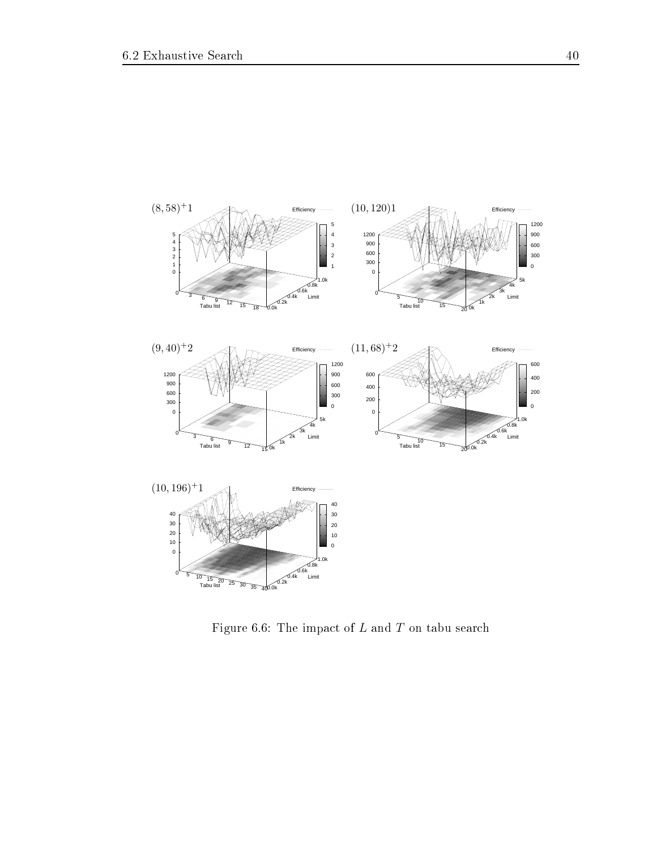

Figure 6.6: The impact of  $L$  and  $T$  on tabu search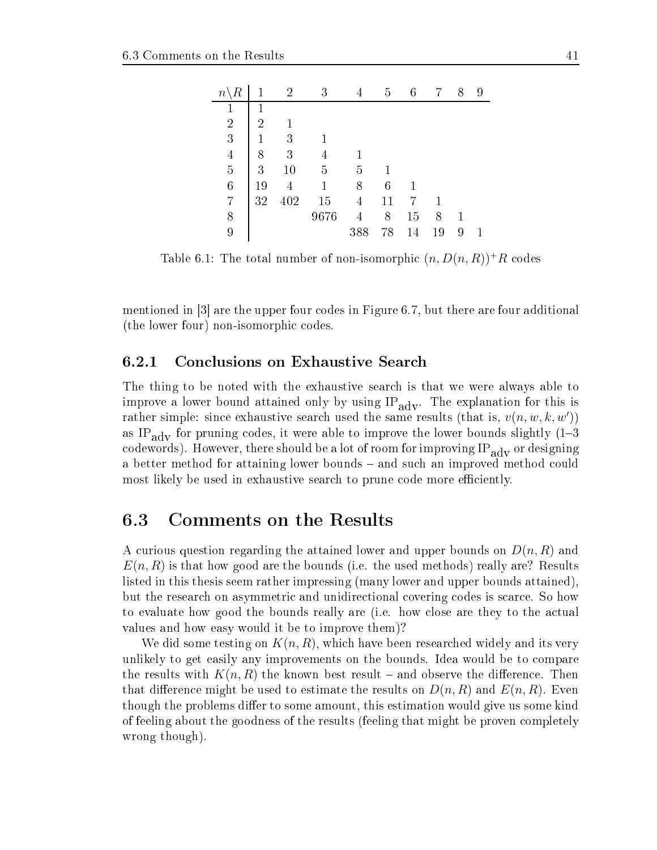| $\, n$         |                | $\overline{2}$ | 3    |     | 5      | 6  | 7  | 8 | 9 |
|----------------|----------------|----------------|------|-----|--------|----|----|---|---|
|                |                |                |      |     |        |    |    |   |   |
| $\overline{2}$ | $\overline{2}$ |                |      |     |        |    |    |   |   |
| 3              |                | 3              |      |     |        |    |    |   |   |
| $\overline{4}$ | 8              | 3              |      |     |        |    |    |   |   |
| $\overline{5}$ | 3              | 10             | 5    | 5   |        |    |    |   |   |
| 6              | 19             |                |      | 8   | 6      | 1  |    |   |   |
| 7              | 32             | 402            | 15   | 4   | $11\,$ |    |    |   |   |
| 8              |                |                | 9676 | 4   | 8      | 15 | 8  |   |   |
| 9              |                |                |      | 388 | 78     | 14 | 19 | 9 |   |

Table 6.1: The total number of non-isomorphic  $(n, D(n, R))^+R$  codes

mentioned in  $\lceil 3 \rceil$  are the upper four codes in Figure 6.7, but there are four additional (the lower four) non-isomorphic codes.

### 6.2.1 Con
lusions on Exhaustive Sear
h

The thing to be noted with the exhaustive sear
h is that we were always able to improve a lower bound attained only by using  $IP_{\text{adv}}$ . The explanation for this is rather simple: since exhaustive search used the same results (that is,  $v(n, w, k, w')$ ) as IP<sub>ady</sub> for pruning codes, it were able to improve the lower bounds slightly  $(1-3)$ codewords). However, there should be a lot of room for improving  $IP_{\text{adv}}$  or designing a better method for attaining lower bounds - and such an improved method could most likely be used in exhaustive search to prune code more efficiently.

### 6.3 Comments on the Results

A curious question regarding the attained lower and upper bounds on  $D(n, R)$  and  $E(n, R)$  is that how good are the bounds (i.e. the used methods) really are? Results listed in this thesis seem rather impressing (many lower and upper bounds attained), but the resear
h on asymmetri and unidire
tional overing odes is s
ar
e. So how to evaluate how good the bounds really are (i.e. how close are they to the actual values and how easy would it be to improve them)?

We did some testing on  $K(n, R)$ , which have been researched widely and its very unlikely to get easily any improvements on the bounds. Idea would be to ompare the results with  $K(n, R)$  the known best result – and observe the difference. Then that difference might be used to estimate the results on  $D(n, R)$  and  $E(n, R)$ . Even though the problems differ to some amount, this estimation would give us some kind of feeling about the goodness of the results (feeling that might be proven ompletely wrong though).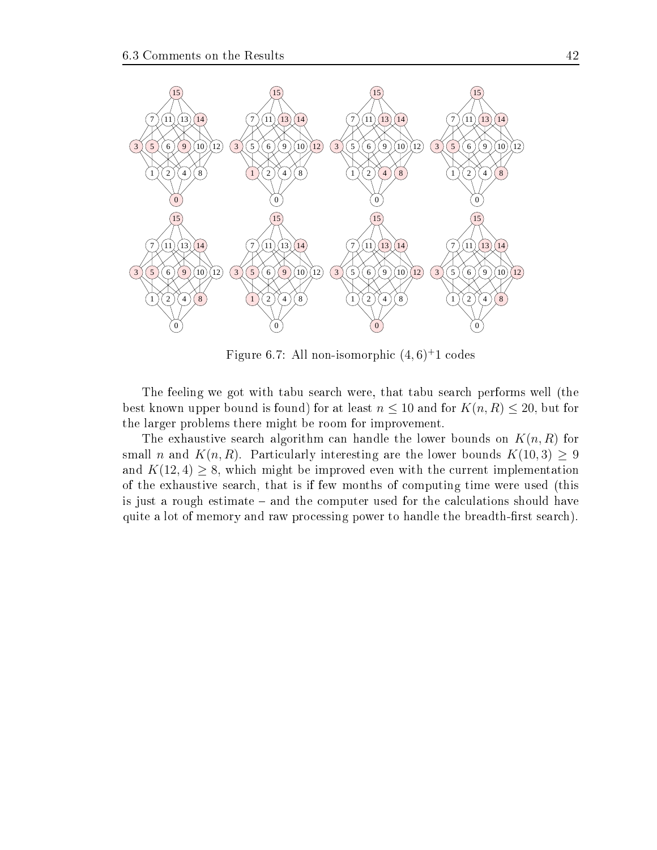

Figure 6.7: All non-isomorphic  $(4,6)^+1$  codes

The feeling we got with tabu sear
h were, that tabu sear
h performs well (the best known upper bound is found) for at least  $n \leq 10$  and for  $K(n, R) \leq 20$ , but for the larger problems there might be room for improvement.

The exhaustive search algorithm can handle the lower bounds on  $K(n, R)$  for small n and  $K(n, R)$ . Particularly interesting are the lower bounds  $K(10, 3) > 9$ and  $K(12, 4) \geq 8$ , which might be improved even with the current implementation of the exhaustive sear
h, that is if few months of omputing time were used (this is just a rough estimate – and the computer used for the calculations should have quite a lot of memory and raw processing power to handle the breadth-first search).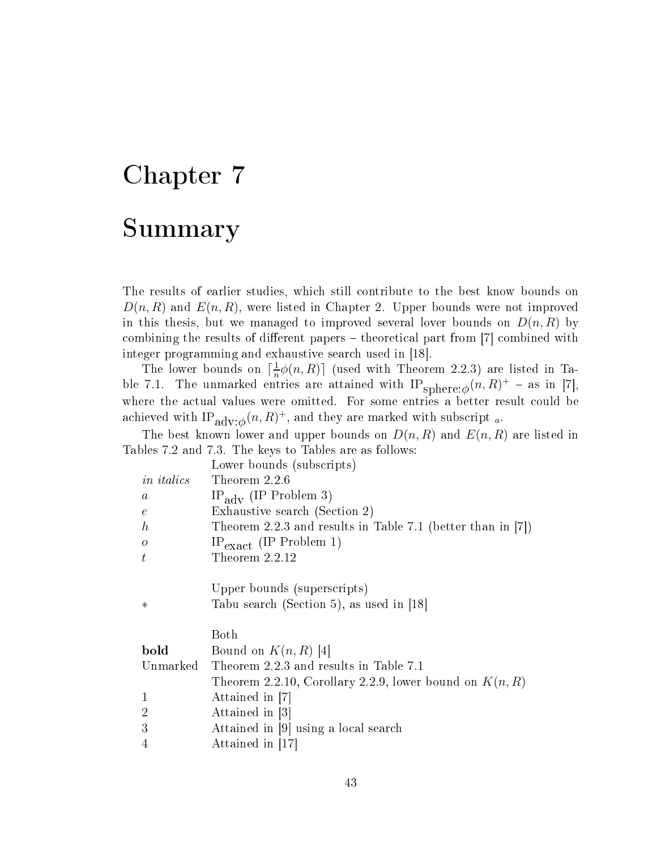### Chapter 7

### Summary

The results of earlier studies, whi
h still ontribute to the best know bounds on  $D(n, R)$  and  $E(n, R)$ , were listed in Chapter 2. Upper bounds were not improved in this thesis, but we managed to improved several lover bounds on  $D(n, R)$  by combining the results of different papers  $-$  theoretical part from [7] combined with integer programming and exhaustive search used in [18].

The lower bounds on  $\lceil \frac{1}{n} \rceil$  $\frac{1}{n}\phi(n,R)$  (used with Theorem 2.2.3) are listed in Table 7.1. The unmarked entries are attained with  ${\rm IP}_{{\rm sphere};\phi}(n,R)^{+}$  – as in [7], where the actual values were omitted. For some entries a better result could be achieved with  $\mathop{\mathrm{IP}}\nolimits_{\mathop{\mathrm{adv}}\nolimits:\phi}(n,R)^+,$  and they are marked with subscript  ${}_{a}.$ 

The best known lower and upper bounds on  $D(n, R)$  and  $E(n, R)$  are listed in Tables 7.2 and 7.3. The keys to Tables are as follows:

| Lower bounds (subscripts)                                      |
|----------------------------------------------------------------|
| Theorem 2.2.6                                                  |
| $IP_{\text{adv}}$ (IP Problem 3)                               |
| Exhaustive search (Section 2)                                  |
| Theorem 2.2.3 and results in Table 7.1 (better than in $[7]$ ) |
| $IP_{\text{exact}}$ (IP Problem 1)                             |
| Theorem 2.2.12                                                 |
| Upper bounds (superscripts)                                    |
| Tabu search (Section 5), as used in [18]                       |
| Both                                                           |
| Bound on $K(n, R)$ [4]                                         |
| Unmarked Theorem 2.2.3 and results in Table 7.1                |
| Theorem 2.2.10, Corollary 2.2.9, lower bound on $K(n, R)$      |
| Attained in [7]                                                |
| Attained in  3                                                 |
| Attained in [9] using a local search                           |
| Attained in [17]                                               |
|                                                                |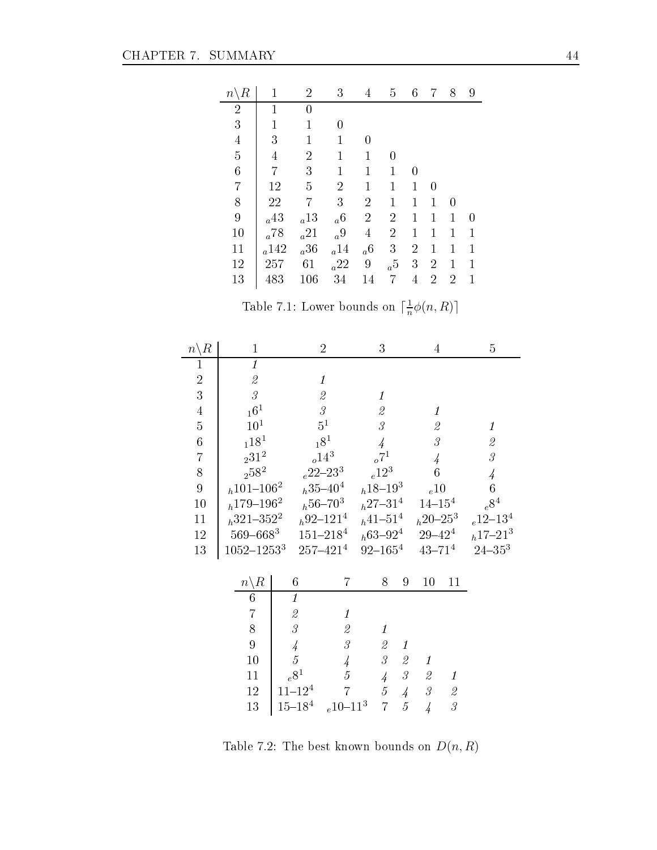÷,

| $n \backslash R$ | 1              | 2               | 3               | 4              | 5                | 6              |                | 8              | 9 |
|------------------|----------------|-----------------|-----------------|----------------|------------------|----------------|----------------|----------------|---|
| $\overline{2}$   | 1              | 0               |                 |                |                  |                |                |                |   |
| 3                | $\overline{1}$ | 1               |                 |                |                  |                |                |                |   |
| $\overline{4}$   | 3              | 1               |                 |                |                  |                |                |                |   |
| $\overline{5}$   | 4              | $\overline{2}$  | 1               | 1              | 0                |                |                |                |   |
| 6                | 7              | 3               | 1               | $\mathbf 1$    | 1                | 0              |                |                |   |
| 7                | 12             | 5               | $\overline{2}$  | $\mathbf 1$    | 1                | 1              | 0              |                |   |
| 8                | $22\,$         | 7               | 3               | $\overline{2}$ | 1                | 1              | 1              | 0              |   |
| $\boldsymbol{9}$ | $a^{43}$       | $a^{13}$        | a <sup>6</sup>  | $\overline{2}$ | $\overline{2}$   | 1              | 1              | 1              | 0 |
| 10               | $_{a}78\,$     | a <sup>21</sup> | a <sup>9</sup>  | $\overline{4}$ | $\overline{2}$   | 1              | 1              | 1              | 1 |
| 11               | a142           | a <sup>36</sup> | $_a14\,$        | a <sup>6</sup> | $\boldsymbol{3}$ | $\overline{2}$ | 1              | 1              | 1 |
| 12               | 257            | 61              | a <sup>22</sup> | 9              | a <sub>5</sub>   | 3              | $\overline{2}$ | 1              | 1 |
| 13               | 483            | 106             | 34              | 14             | 7                | $\overline{4}$ | $\overline{2}$ | $\overline{2}$ | 1 |

Table 7.1: Lower bounds on  $\lceil \frac{1}{n} \rceil$  $\frac{1}{n}\phi(n,R)$ 

| $n \backslash R$ | $\mathbf{1}$                                              |                                                           | $\overline{2}$                                            |                                                           | 3                       |                                                           | 4                                                         | $\overline{5}$                          |
|------------------|-----------------------------------------------------------|-----------------------------------------------------------|-----------------------------------------------------------|-----------------------------------------------------------|-------------------------|-----------------------------------------------------------|-----------------------------------------------------------|-----------------------------------------|
| 1                | $\overline{1}$                                            |                                                           |                                                           |                                                           |                         |                                                           |                                                           |                                         |
| $\sqrt{2}$       | $\mathcal{Q}% _{M_{1},M_{2}}^{\alpha,\beta}(\varepsilon)$ |                                                           | $\boldsymbol{\varLambda}$                                 |                                                           |                         |                                                           |                                                           |                                         |
| $\overline{3}$   | $\overline{\mathcal{S}}$                                  |                                                           | $\mathcal{Q}% _{M_{1},M_{2}}^{\alpha,\beta}(\varepsilon)$ |                                                           | 1                       |                                                           |                                                           |                                         |
| $\overline{4}$   | $\begin{smallmatrix} 1 & 6 & 1 \end{smallmatrix}$         |                                                           | $\mathcal S$                                              |                                                           | $\mathcal{Q}$           |                                                           |                                                           |                                         |
| $\overline{5}$   | 10 <sup>1</sup>                                           |                                                           | $5^1$                                                     |                                                           | $\mathcal{S}_{0}^{(1)}$ |                                                           | $\mathcal{Q}% _{M_{1},M_{2}}^{\alpha,\beta}(\varepsilon)$ | 1                                       |
| $\overline{6}$   | $\begin{smallmatrix} 1 & 1 & 8^1 \end{smallmatrix}$       |                                                           | $18^{1}$                                                  |                                                           | $\overline{4}$          |                                                           | $\mathcal S$                                              | $\mathcal{Q}$                           |
| $\overline{7}$   | $\rm _231^2$                                              |                                                           | $_{o}14^{3}$                                              |                                                           | $\sigma^{7}$            |                                                           |                                                           | $\overline{\mathcal{S}}$                |
| 8                | $\displaystyle 258^2$                                     |                                                           | $_{e}22\text{--}23^{3}$                                   |                                                           | $_{e}12^{3}$            |                                                           |                                                           | $\overline{4}$                          |
| 9                | $h^{101-106^2}$                                           |                                                           | $h^{35-40^4}$                                             |                                                           | $h^{18-19^3}$           |                                                           | $_e10$                                                    | 6                                       |
| 10               | $h179 - 1962$                                             |                                                           | $h^{56-70^3}$                                             |                                                           | $h^{27-31^4}$           |                                                           | $14 - 154$                                                | $e^{\displaystyle 8^{\displaystyle 4}}$ |
| 11               | $h^{321-352^2}$                                           |                                                           | $h^{92-121^4}$                                            |                                                           | $h^{41-51^4}$           |                                                           | $h^{20-25^3}$                                             | $_{e}12 - 13^{4}$                       |
| $12\,$           | $569 - 668^3$                                             |                                                           | $151 - 2184$                                              |                                                           | $h63 - 92^4$            |                                                           | $29\hbox{--}42^4$                                         | $h^{17-21^3}$                           |
| 13               | $1052 - 1253^3$                                           |                                                           | $257 - 4214$                                              | $92 - 1654$                                               |                         | $43 - 71^{4}$                                             |                                                           | $24 - 35^3$                             |
|                  |                                                           |                                                           |                                                           |                                                           |                         |                                                           |                                                           |                                         |
|                  | $n\backslash R$                                           | $\!6\,$                                                   | 7                                                         | 8                                                         | 9                       | 10                                                        | 11                                                        |                                         |
|                  | $6\phantom{.}6$                                           | $\boldsymbol{\mathit{1}}$                                 |                                                           |                                                           |                         |                                                           |                                                           |                                         |
|                  | $\overline{7}$                                            | $\mathcal{Q}% _{M_{1},M_{2}}^{\alpha,\beta}(\varepsilon)$ | $\mathbf{1}$                                              |                                                           |                         |                                                           |                                                           |                                         |
|                  | 8                                                         | $\overline{\mathcal{S}}$                                  | $\mathcal{Q}% _{M_{1},M_{2}}^{\alpha,\beta}(\varepsilon)$ | $\boldsymbol{\mathit{1}}$                                 |                         |                                                           |                                                           |                                         |
|                  | $\overline{9}$                                            | $\overline{4}$                                            | $\mathcal{S}% _{M_{1},M_{2}}^{\alpha,\beta}(\varepsilon)$ | $\mathcal{Q}% _{M_{1},M_{2}}^{\alpha,\beta}(\varepsilon)$ | $\it 1$                 |                                                           |                                                           |                                         |
|                  | 10                                                        | $\overline{5}$                                            | $\overline{4}$                                            | $\mathcal G$                                              | $\mathcal{Q}$           | 1                                                         |                                                           |                                         |
|                  | 11                                                        | $e^{8^1}$                                                 | $\overline{5}$                                            | $\overline{4}$                                            | $\mathcal{\emph{3}}$    | $\mathcal{Q}% _{M_{1},M_{2}}^{\alpha,\beta}(\varepsilon)$ | 1                                                         |                                         |
|                  | 12                                                        | $11 - 124$                                                | $\overline{7}$                                            | $\overline{5}$                                            | $\overline{4}$          | $\mathcal S$                                              | $\mathcal{Q}% _{M_{1},M_{2}}^{\alpha,\beta}(\varepsilon)$ |                                         |
|                  | 13                                                        | $15\hbox{--}18^4$                                         | $_{e}10 - 11^{3}$                                         | $\overline{7}$                                            | $\overline{5}$          | $\overline{4}$                                            | $\overline{\mathcal{S}}$                                  |                                         |

Table 7.2: The best known bounds on  ${\cal D}(n,R)$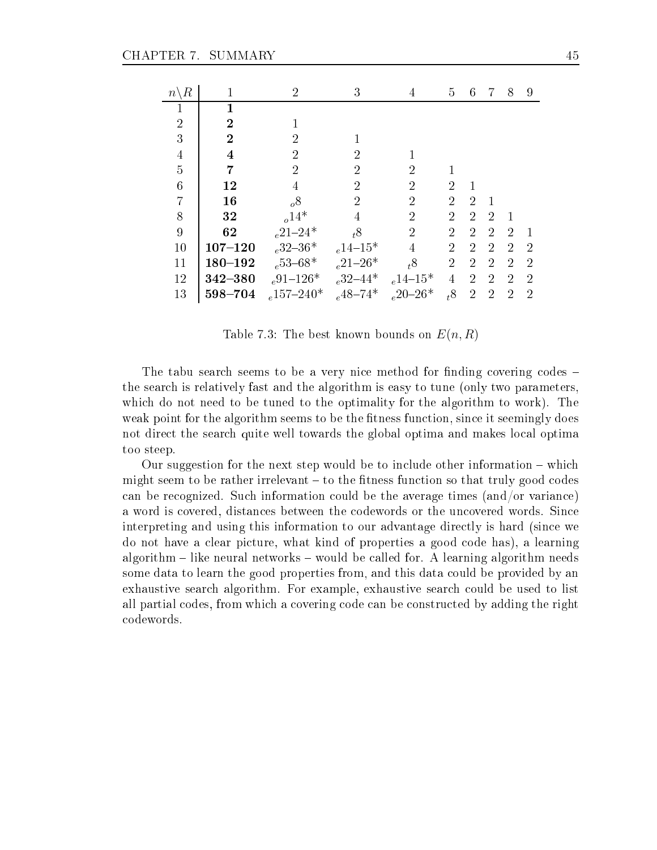| $n \backslash R$ | 1              | $\overline{2}$   | 3              | 4                          | 5              | 6              | 7              | 8              | 9              |
|------------------|----------------|------------------|----------------|----------------------------|----------------|----------------|----------------|----------------|----------------|
|                  |                |                  |                |                            |                |                |                |                |                |
| $\overline{2}$   | $\overline{2}$ | 1                |                |                            |                |                |                |                |                |
| 3                | $\overline{2}$ | $\overline{2}$   |                |                            |                |                |                |                |                |
| $\overline{4}$   | 4              | $\overline{2}$   | $\mathcal{P}$  |                            |                |                |                |                |                |
| $\overline{5}$   | 7              | $\overline{2}$   | 2              | 2                          |                |                |                |                |                |
| $\overline{6}$   | 12             | 4                | $\overline{2}$ | $\overline{2}$             | $\overline{2}$ |                |                |                |                |
| $\overline{7}$   | 16             | $\delta$         | $\overline{2}$ | $\overline{2}$             | $\overline{2}$ | 2              |                |                |                |
| 8                | 32             | $_{o}14*$        | 4              | $\overline{2}$             | $\overline{2}$ | $\overline{2}$ | $\overline{2}$ |                |                |
| 9                | 62             | $_{e}21-24*$     | $t^8$          | $\overline{2}$             | $\overline{2}$ | $\overline{2}$ | $\overline{2}$ | $\mathcal{D}$  |                |
| 10               | $107 - 120$    | $_{e}32 - 36*$   | $_{e}14 - 15*$ | 4                          | $\overline{2}$ | $\overline{2}$ | $\mathcal{D}$  | $\mathcal{D}$  | $\mathcal{D}$  |
| 11               | $180 - 192$    | $_{e}53-68*$     | $_{e}21-26*$   | $t^8$                      | $\overline{2}$ | $\overline{2}$ | $\overline{2}$ | 2              | 2              |
| 12               | 342-380        | $_{e}91-126*$    | $_{e}32 - 44*$ | $_{e}14\mbox{--}15^{\ast}$ | 4              | $\overline{2}$ | $\overline{2}$ | $\overline{2}$ | 2              |
| 13               | 598-704        | $_{e}157 - 240*$ | $_{e}$ 48-74*  | $_e20-26*$                 | $t^8$          | $\overline{2}$ | $\overline{2}$ | $\overline{2}$ | $\overline{2}$ |

Table 7.3: The best known bounds on  $E(n, R)$ 

The tabu search seems to be a very nice method for finding covering codes – the sear
h is relatively fast and the algorithm is easy to tune (only two parameters, which do not need to be tuned to the optimality for the algorithm to work). The weak point for the algorithm seems to be the fitness function, since it seemingly does not direct the search quite well towards the global optima and makes local optima too steep.

Our suggestion for the next step would be to include other information  $-\text{ which}$ might seem to be rather irrelevant  $-$  to the fitness function so that truly good codes an be re
ognized. Su
h information ould be the average times (and/or varian
e) a word is covered, distances between the codewords or the uncovered words. Since interpreting and using this information to our advantage dire
tly is hard (sin
e we do not have a clear picture, what kind of properties a good code has), a learning algorithm  $-$  like neural networks  $-$  would be called for. A learning algorithm needs some data to learn the good properties from, and this data ould be provided by an exhaustive sear
h algorithm. For example, exhaustive sear
h ould be used to list all partial odes, from whi
h a overing ode an be onstru
ted by adding the right odewords.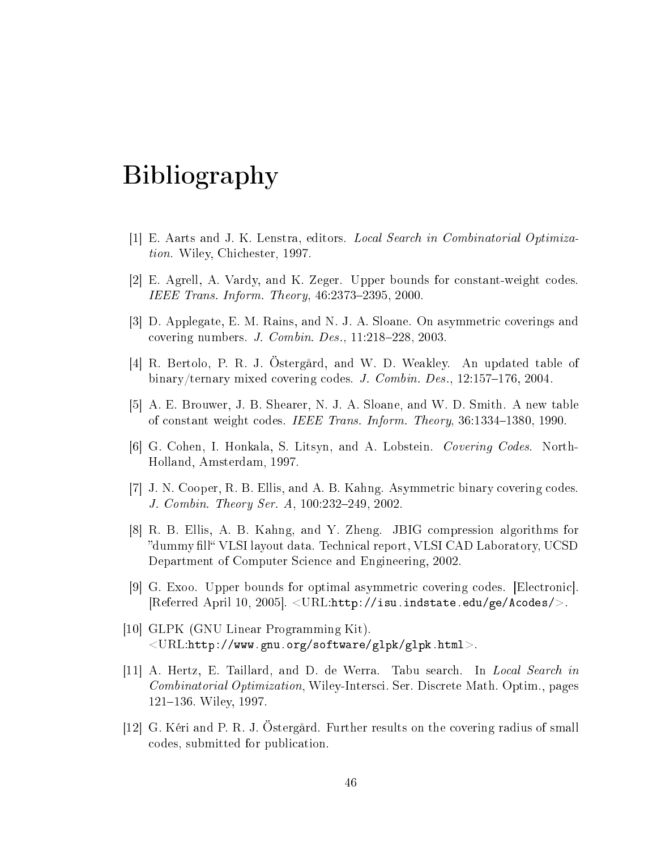### Bibliography

- [1] E. Aarts and J. K. Lenstra, editors. Local Search in Combinatorial Optimization. Wiley, Chi
hester, 1997.
- [2] E. Agrell, A. Vardy, and K. Zeger. Upper bounds for constant-weight codes. IEEE Trans. Inform. Theory,  $46:2373-2395$ ,  $2000$ .
- $|3|$  D. Applegate, E. M. Rains, and N. J. A. Sloane. On asymmetric coverings and covering numbers. J. Combin. Des.,  $11:218-228$ ,  $2003$ .
- [4] R. Bertolo, P. R. J. Östergård, and W. D. Weakley. An updated table of binary/ternary mixed covering codes. J. Combin. Des., 12:157-176, 2004.
- [5] A. E. Brouwer, J. B. Shearer, N. J. A. Sloane, and W. D. Smith. A new table of constant weight codes. IEEE Trans. Inform. Theory, 36:1334-1380, 1990.
- [6] G. Cohen, I. Honkala, S. Litsyn, and A. Lobstein. *Covering Codes*. North-Holland, Amsterdam, 1997.
- [7] J. N. Cooper, R. B. Ellis, and A. B. Kahng. Asymmetric binary covering codes. J. Combin. Theory Ser. A, 100:232-249, 2002.
- [8] R. B. Ellis, A. B. Kahng, and Y. Zheng. JBIG compression algorithms for "dummy fill" VLSI layout data. Technical report, VLSI CAD Laboratory, UCSD Department of Computer Science and Engineering, 2002.
- $|9|$  G. Exoo. Upper bounds for optimal asymmetric covering codes. Electronic.  $[Referred April 10, 2005]$ .  $\langle \text{URL}:\text{http://isu.index.edu/ge/Acodes/}>$ .
- [10] GLPK (GNU Linear Programming Kit).  $\langle\text{URL:http://www.gnu.org/software/glpk/glpk.html>}.$
- [11] A. Hertz, E. Taillard, and D. de Werra. Tabu search. In Local Search in Combinatorial Optimization, Wiley-Intersci. Ser. Discrete Math. Optim., pages 121-136. Wiley, 1997.
- [12] G. Kéri and P. R. J. Östergård. Further results on the covering radius of small odes, submitted for publi
ation.